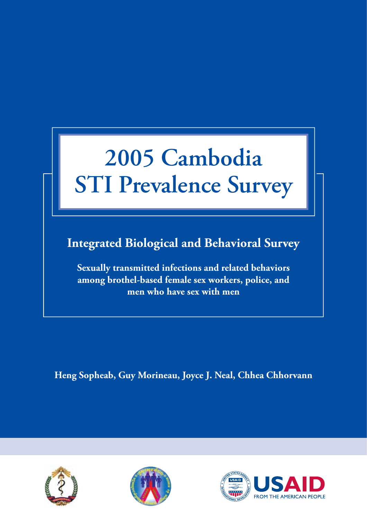### **2005 Cambodia STI Prevalence Survey**

**Integrated Biological and Behavioral Survey**

**Sexually transmitted infections and related behaviors among brothel-based female sex workers, police, and men who have sex with men**

**Heng Sopheab, Guy Morineau, Joyce J. Neal, Chhea Chhorvann**





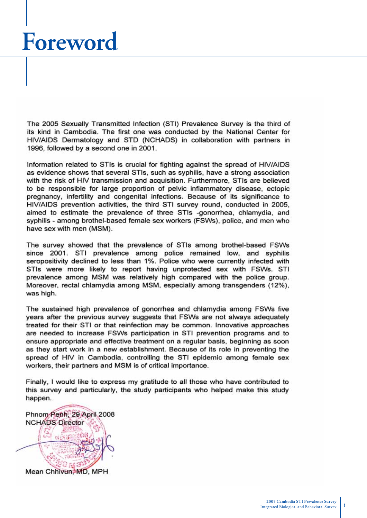### **Foreword**

The 2005 Sexually Transmitted Infection (STI) Prevalence Survey is the third of its kind in Cambodia. The first one was conducted by the National Center for HIV/AIDS Dermatology and STD (NCHADS) in collaboration with partners in 1996, followed by a second one in 2001.

Information related to STIs is crucial for fighting against the spread of HIV/AIDS as evidence shows that several STIs, such as syphilis, have a strong association with the risk of HIV transmission and acquisition. Furthermore, STIs are believed to be responsible for large proportion of pelvic inflammatory disease, ectopic pregnancy, infertility and congenital infections. Because of its significance to HIV/AIDS prevention activities, the third STI survey round, conducted in 2005, aimed to estimate the prevalence of three STIs -gonorrhea, chlamydia, and syphilis - among brothel-based female sex workers (FSWs), police, and men who have sex with men (MSM).

The survey showed that the prevalence of STIs among brothel-based FSWs since 2001. STI prevalence among police remained low, and syphilis seropositivity declined to less than 1%. Police who were currently infected with STIs were more likely to report having unprotected sex with FSWs. STI prevalence among MSM was relatively high compared with the police group. Moreover, rectal chlamydia among MSM, especially among transgenders (12%), was high.

The sustained high prevalence of gonorrhea and chlamydia among FSWs five years after the previous survey suggests that FSWs are not always adequately treated for their STI or that reinfection may be common. Innovative approaches are needed to increase FSWs participation in STI prevention programs and to ensure appropriate and effective treatment on a regular basis, beginning as soon as they start work in a new establishment. Because of its role in preventing the spread of HIV in Cambodia, controlling the STI epidemic among female sex workers, their partners and MSM is of critical importance.

Finally, I would like to express my gratitude to all those who have contributed to this survey and particularly, the study participants who helped make this study happen.

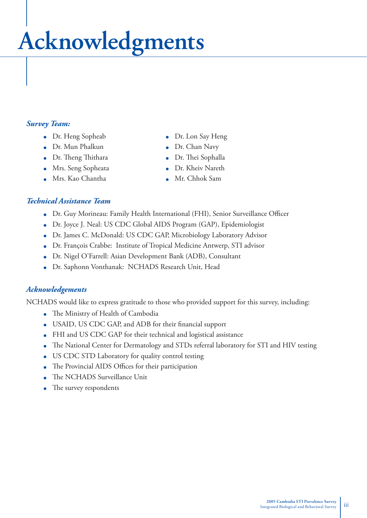# **Acknowledgments**

#### *Survey Team:*

- Dr. Heng Sopheab Dr. Lon Say Heng
- Dr. Mun Phalkun Dr. Chan Navy
- Dr. Th eng Th ithara Dr. Th ei Sophalla
- Mrs. Seng Sopheata **Dr. Kheiv Nareth**
- Mrs. Kao Chantha **Mrs. Kao Chantha Mrs. Angles** Mr. Chhok Sam
- 
- 
- 
- 
- 

#### *Technical Assistance Team*

- Dr. Guy Morineau: Family Health International (FHI), Senior Surveillance Officer
- Dr. Joyce J. Neal: US CDC Global AIDS Program (GAP), Epidemiologist
- Dr. James C. McDonald: US CDC GAP, Microbiology Laboratory Advisor
- Dr. François Crabbe: Institute of Tropical Medicine Antwerp, STI advisor
- Dr. Nigel O'Farrell: Asian Development Bank (ADB), Consultant
- Dr. Saphonn Vonthanak: NCHADS Research Unit, Head

#### *Acknowledgements*

NCHADS would like to express gratitude to those who provided support for this survey, including:

- The Ministry of Health of Cambodia
- USAID, US CDC GAP, and ADB for their financial support
- FHI and US CDC GAP for their technical and logistical assistance
- The National Center for Dermatology and STDs referral laboratory for STI and HIV testing
- US CDC STD Laboratory for quality control testing
- The Provincial AIDS Offices for their participation
- The NCHADS Surveillance Unit
- The survey respondents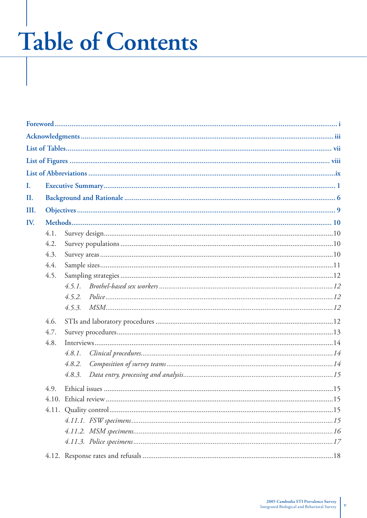### **Table of Contents**

| I.   |      |        |
|------|------|--------|
| II.  |      |        |
| III. |      |        |
| IV.  |      |        |
|      | 4.1. |        |
|      | 4.2. |        |
|      | 4.3. |        |
|      | 4.4. |        |
|      | 4.5. |        |
|      |      | 4.5.1. |
|      |      | 4.5.2. |
|      |      | 4.5.3. |
|      | 4.6. |        |
|      | 4.7. |        |
|      | 4.8. |        |
|      |      | 4.8.1. |
|      |      | 4.8.2. |
|      |      | 4.8.3. |
|      | 4.9. |        |
|      |      |        |
|      |      |        |
|      |      |        |
|      |      |        |
|      |      |        |
|      |      |        |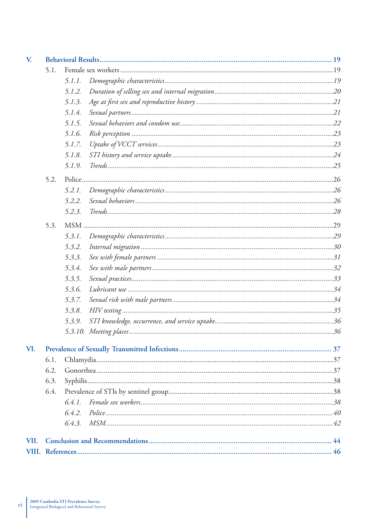| V.   |      |        |  |  |  |  |
|------|------|--------|--|--|--|--|
|      | 5.1. |        |  |  |  |  |
|      |      | 5.1.1. |  |  |  |  |
|      |      | 5.1.2. |  |  |  |  |
|      |      | 5.1.3. |  |  |  |  |
|      |      | 5.1.4. |  |  |  |  |
|      |      | 5.1.5. |  |  |  |  |
|      |      | 5.1.6. |  |  |  |  |
|      |      | 5.1.7. |  |  |  |  |
|      |      | 5.1.8. |  |  |  |  |
|      |      | 5.1.9. |  |  |  |  |
|      | 5.2. |        |  |  |  |  |
|      |      | 5.2.1. |  |  |  |  |
|      |      | 5.2.2. |  |  |  |  |
|      |      | 5.2.3. |  |  |  |  |
|      | 5.3. |        |  |  |  |  |
|      |      | 5.3.1. |  |  |  |  |
|      |      | 5.3.2. |  |  |  |  |
|      |      | 5.3.3. |  |  |  |  |
|      |      | 5.3.4. |  |  |  |  |
|      |      | 5.3.5. |  |  |  |  |
|      |      | 5.3.6. |  |  |  |  |
|      |      | 5.3.7. |  |  |  |  |
|      |      | 5.3.8. |  |  |  |  |
|      |      | 5.3.9. |  |  |  |  |
|      |      |        |  |  |  |  |
| VI.  |      |        |  |  |  |  |
|      | 6.1. |        |  |  |  |  |
|      | 6.2. |        |  |  |  |  |
|      | 6.3. |        |  |  |  |  |
|      | 6.4. |        |  |  |  |  |
|      |      |        |  |  |  |  |
|      |      | 6.4.2. |  |  |  |  |
|      |      |        |  |  |  |  |
| VII. |      |        |  |  |  |  |
|      |      |        |  |  |  |  |
|      |      |        |  |  |  |  |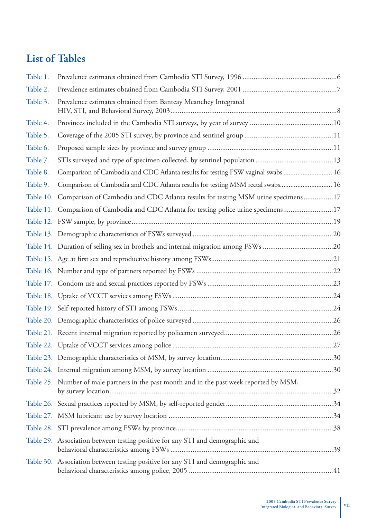#### **List of Tables**

| Table 1. |                                                                                            |  |
|----------|--------------------------------------------------------------------------------------------|--|
| Table 2. |                                                                                            |  |
| Table 3. | Prevalence estimates obtained from Banteay Meanchey Integrated                             |  |
| Table 4. |                                                                                            |  |
| Table 5. |                                                                                            |  |
| Table 6. |                                                                                            |  |
| Table 7. |                                                                                            |  |
| Table 8. | Comparison of Cambodia and CDC Atlanta results for testing FSW vaginal swabs  16           |  |
| Table 9. | Comparison of Cambodia and CDC Atlanta results for testing MSM rectal swabs 16             |  |
|          | Table 10. Comparison of Cambodia and CDC Atlanta results for testing MSM urine specimens17 |  |
|          | Table 11. Comparison of Cambodia and CDC Atlanta for testing police urine specimens17      |  |
|          |                                                                                            |  |
|          |                                                                                            |  |
|          |                                                                                            |  |
|          |                                                                                            |  |
|          |                                                                                            |  |
|          |                                                                                            |  |
|          |                                                                                            |  |
|          |                                                                                            |  |
|          |                                                                                            |  |
|          |                                                                                            |  |
|          |                                                                                            |  |
|          |                                                                                            |  |
|          |                                                                                            |  |
|          | Table 25. Number of male partners in the past month and in the past week reported by MSM,  |  |
|          |                                                                                            |  |
|          |                                                                                            |  |
|          |                                                                                            |  |
|          | Table 29. Association between testing positive for any STI and demographic and             |  |
|          | Table 30. Association between testing positive for any STI and demographic and             |  |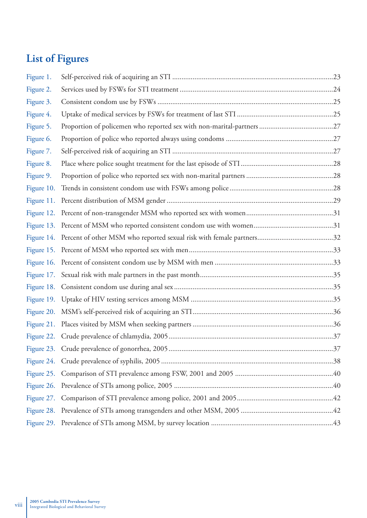### **List of Figures**

| Figure 1.  |  |
|------------|--|
| Figure 2.  |  |
| Figure 3.  |  |
| Figure 4.  |  |
| Figure 5.  |  |
| Figure 6.  |  |
| Figure 7.  |  |
| Figure 8.  |  |
| Figure 9.  |  |
| Figure 10. |  |
| Figure 11. |  |
|            |  |
|            |  |
|            |  |
|            |  |
|            |  |
|            |  |
|            |  |
|            |  |
|            |  |
|            |  |
|            |  |
|            |  |
|            |  |
|            |  |
|            |  |
|            |  |
|            |  |
|            |  |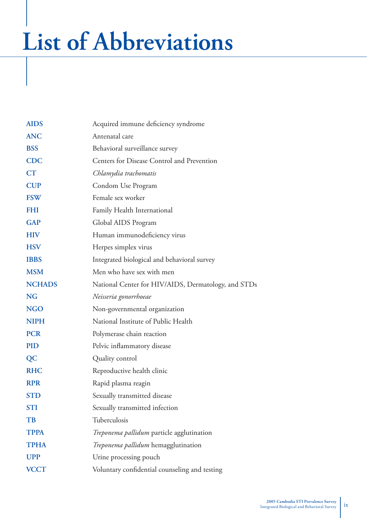## **List of Abbreviations**

| <b>AIDS</b>   | Acquired immune deficiency syndrome                 |
|---------------|-----------------------------------------------------|
| <b>ANC</b>    | Antenatal care                                      |
| <b>BSS</b>    | Behavioral surveillance survey                      |
| <b>CDC</b>    | Centers for Disease Control and Prevention          |
| <b>CT</b>     | Chlamydia trachomatis                               |
| <b>CUP</b>    | Condom Use Program                                  |
| <b>FSW</b>    | Female sex worker                                   |
| <b>FHI</b>    | Family Health International                         |
| <b>GAP</b>    | Global AIDS Program                                 |
| <b>HIV</b>    | Human immunodeficiency virus                        |
| <b>HSV</b>    | Herpes simplex virus                                |
| <b>IBBS</b>   | Integrated biological and behavioral survey         |
| <b>MSM</b>    | Men who have sex with men                           |
| <b>NCHADS</b> | National Center for HIV/AIDS, Dermatology, and STDs |
| <b>NG</b>     | Neisseria gonorrhoeae                               |
| <b>NGO</b>    | Non-governmental organization                       |
| <b>NIPH</b>   | National Institute of Public Health                 |
| <b>PCR</b>    | Polymerase chain reaction                           |
| <b>PID</b>    | Pelvic inflammatory disease                         |
| <b>QC</b>     | Quality control                                     |
| <b>RHC</b>    | Reproductive health clinic                          |
| <b>RPR</b>    | Rapid plasma reagin                                 |
| <b>STD</b>    | Sexually transmitted disease                        |
| <b>STI</b>    | Sexually transmitted infection                      |
| TB            | Tuberculosis                                        |
| <b>TPPA</b>   | Treponema pallidum particle agglutination           |
| <b>TPHA</b>   | Treponema pallidum hemagglutination                 |
| <b>UPP</b>    | Urine processing pouch                              |
| <b>VCCT</b>   | Voluntary confidential counseling and testing       |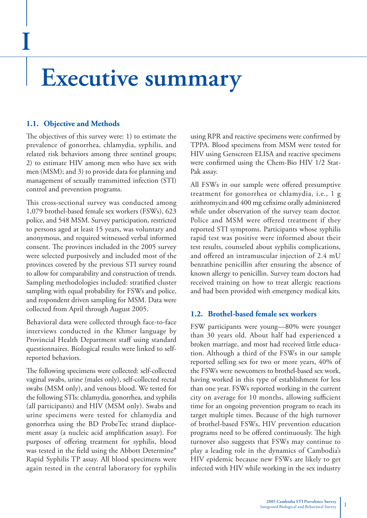### **Executive summary**

#### **1.1. Objective and Methods**

**I**

The objectives of this survey were: 1) to estimate the prevalence of gonorrhea, chlamydia, syphilis, and related risk behaviors among three sentinel groups; 2) to estimate HIV among men who have sex with men (MSM); and 3) to provide data for planning and management of sexually transmitted infection (STI) control and prevention programs.

This cross-sectional survey was conducted among 1,079 brothel-based female sex workers (FSWs), 623 police, and 548 MSM. Survey participation, restricted to persons aged at least 15 years, was voluntary and anonymous, and required witnessed verbal informed consent. The provinces included in the 2005 survey were selected purposively and included most of the provinces covered by the previous STI survey round to allow for comparability and construction of trends. Sampling methodologies included: stratified cluster sampling with equal probability for FSWs and police, and respondent driven sampling for MSM. Data were collected from April through August 2005.

Behavioral data were collected through face-to-face interviews conducted in the Khmer language by Provincial Health Department staff using standard questionnaires. Biological results were linked to selfreported behaviors.

The following specimens were collected: self-collected vaginal swabs, urine (males only), self-collected rectal swabs (MSM only), and venous blood. We tested for the following STIs: chlamydia, gonorrhea, and syphilis (all participants) and HIV (MSM only). Swabs and urine specimens were tested for chlamydia and gonorrhea using the BD ProbeTec strand displacement assay (a nucleic acid amplification assay). For purposes of offering treatment for syphilis, blood was tested in the field using the Abbott Determine® Rapid Syphilis TP assay. All blood specimens were again tested in the central laboratory for syphilis

using RPR and reactive specimens were confirmed by TPPA. Blood specimens from MSM were tested for HIV using Genscreen ELISA and reactive specimens were confirmed using the Chem-Bio HIV 1/2 Stat-Pak assay.

All FSWs in our sample were offered presumptive treatment for gonorrhea or chlamydia, i.e., 1 g azithromycin and 400 mg cefixime orally administered while under observation of the survey team doctor. Police and MSM were offered treatment if they reported STI symptoms. Participants whose syphilis rapid test was positive were informed about their test results, counseled about syphilis complications, and offered an intramuscular injection of  $2.4$  mU benzathine penicillin after ensuring the absence of known allergy to penicillin. Survey team doctors had received training on how to treat allergic reactions and had been provided with emergency medical kits.

#### **1.2. Brothel-based female sex workers**

FSW participants were young—80% were younger than 30 years old. About half had experienced a broken marriage, and most had received little education. Although a third of the FSWs in our sample reported selling sex for two or more years, 40% of the FSWs were newcomers to brothel-based sex work, having worked in this type of establishment for less than one year. FSWs reported working in the current city on average for 10 months, allowing sufficient time for an ongoing prevention program to reach its target multiple times. Because of the high turnover of brothel-based FSWs, HIV prevention education programs need to be offered continuously. The high turnover also suggests that FSWs may continue to play a leading role in the dynamics of Cambodia's HIV epidemic because new FSWs are likely to get infected with HIV while working in the sex industry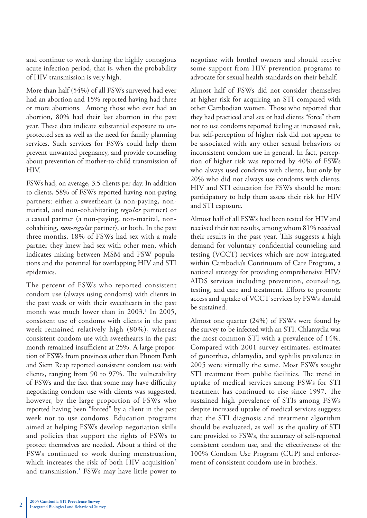and continue to work during the highly contagious acute infection period, that is, when the probability of HIV transmission is very high.

More than half (54%) of all FSWs surveyed had ever had an abortion and 15% reported having had three or more abortions. Among those who ever had an abortion, 80% had their last abortion in the past year. These data indicate substantial exposure to unprotected sex as well as the need for family planning services. Such services for FSWs could help them prevent unwanted pregnancy, and provide counseling about prevention of mother-to-child transmission of HIV.

FSWs had, on average, 3.5 clients per day. In addition to clients, 58% of FSWs reported having non-paying partners: either a sweetheart (a non-paying, nonmarital, and non-cohabitating *regular* partner) or a casual partner (a non-paying, non-marital, noncohabiting, *non-regular* partner), or both. In the past three months, 18% of FSWs had sex with a male partner they knew had sex with other men, which indicates mixing between MSM and FSW populations and the potential for overlapping HIV and STI epidemics.

The percent of FSWs who reported consistent condom use (always using condoms) with clients in the past week or with their sweethearts in the past month was much lower than in  $2003$ .<sup>1</sup> In  $2005$ , consistent use of condoms with clients in the past week remained relatively high (80%), whereas consistent condom use with sweethearts in the past month remained insufficient at 25%. A large proportion of FSWs from provinces other than Phnom Penh and Siem Reap reported consistent condom use with clients, ranging from 90 to 97%. The vulnerability of FSWs and the fact that some may have difficulty negotiating condom use with clients was suggested, however, by the large proportion of FSWs who reported having been "forced" by a client in the past week not to use condoms. Education programs aimed at helping FSWs develop negotiation skills and policies that support the rights of FSWs to protect themselves are needed. About a third of the FSWs continued to work during menstruation, which increases the risk of both HIV acquisition<sup>2</sup> and transmission.3 FSWs may have little power to negotiate with brothel owners and should receive some support from HIV prevention programs to advocate for sexual health standards on their behalf.

Almost half of FSWs did not consider themselves at higher risk for acquiring an STI compared with other Cambodian women. Those who reported that they had practiced anal sex or had clients "force" them not to use condoms reported feeling at increased risk, but self-perception of higher risk did not appear to be associated with any other sexual behaviors or inconsistent condom use in general. In fact, perception of higher risk was reported by 40% of FSWs who always used condoms with clients, but only by 20% who did not always use condoms with clients. HIV and STI education for FSWs should be more participatory to help them assess their risk for HIV and STI exposure.

Almost half of all FSWs had been tested for HIV and received their test results, among whom 81% received their results in the past year. This suggests a high demand for voluntary confidential counseling and testing (VCCT) services which are now integrated within Cambodia's Continuum of Care Program, a national strategy for providing comprehensive HIV/ AIDS services including prevention, counseling, testing, and care and treatment. Efforts to promote access and uptake of VCCT services by FSWs should be sustained.

Almost one quarter (24%) of FSWs were found by the survey to be infected with an STI. Chlamydia was the most common STI with a prevalence of 14%. Compared with 2001 survey estimates, estimates of gonorrhea, chlamydia, and syphilis prevalence in 2005 were virtually the same. Most FSWs sought STI treatment from public facilities. The trend in uptake of medical services among FSWs for STI treatment has continued to rise since 1997. The sustained high prevalence of STIs among FSWs despite increased uptake of medical services suggests that the STI diagnosis and treatment algorithm should be evaluated, as well as the quality of STI care provided to FSWs, the accuracy of self-reported consistent condom use, and the effectiveness of the 100% Condom Use Program (CUP) and enforcement of consistent condom use in brothels.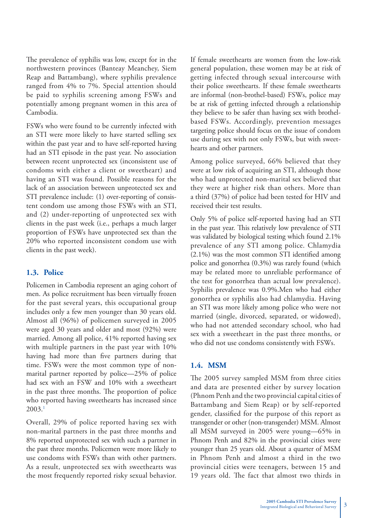The prevalence of syphilis was low, except for in the northwestern provinces (Banteay Meanchey, Siem Reap and Battambang), where syphilis prevalence ranged from 4% to 7%. Special attention should be paid to syphilis screening among FSWs and potentially among pregnant women in this area of Cambodia.

FSWs who were found to be currently infected with an STI were more likely to have started selling sex within the past year and to have self-reported having had an STI episode in the past year. No association between recent unprotected sex (inconsistent use of condoms with either a client or sweetheart) and having an STI was found. Possible reasons for the lack of an association between unprotected sex and STI prevalence include: (1) over-reporting of consistent condom use among those FSWs with an STI, and (2) under-reporting of unprotected sex with clients in the past week (i.e., perhaps a much larger proportion of FSWs have unprotected sex than the 20% who reported inconsistent condom use with clients in the past week).

#### **1.3. Police**

Policemen in Cambodia represent an aging cohort of men. As police recruitment has been virtually frozen for the past several years, this occupational group includes only a few men younger than 30 years old. Almost all (96%) of policemen surveyed in 2005 were aged 30 years and older and most (92%) were married. Among all police, 41% reported having sex with multiple partners in the past year with 10% having had more than five partners during that time. FSWs were the most common type of nonmarital partner reported by police—25% of police had sex with an FSW and 10% with a sweetheart in the past three months. The proportion of police who reported having sweethearts has increased since 2003.1

Overall, 29% of police reported having sex with non-marital partners in the past three months and 8% reported unprotected sex with such a partner in the past three months. Policemen were more likely to use condoms with FSWs than with other partners. As a result, unprotected sex with sweethearts was the most frequently reported risky sexual behavior. If female sweethearts are women from the low-risk general population, these women may be at risk of getting infected through sexual intercourse with their police sweethearts. If these female sweethearts are informal (non-brothel-based) FSWs, police may be at risk of getting infected through a relationship they believe to be safer than having sex with brothelbased FSWs. Accordingly, prevention messages targeting police should focus on the issue of condom use during sex with not only FSWs, but with sweethearts and other partners.

Among police surveyed, 66% believed that they were at low risk of acquiring an STI, although those who had unprotected non-marital sex believed that they were at higher risk than others. More than a third (37%) of police had been tested for HIV and received their test results.

Only 5% of police self-reported having had an STI in the past year. This relatively low prevalence of STI was validated by biological testing which found 2.1% prevalence of any STI among police. Chlamydia  $(2.1\%)$  was the most common STI identified among police and gonorrhea (0.3%) was rarely found (which may be related more to unreliable performance of the test for gonorrhea than actual low prevalence). Syphilis prevalence was 0.9%.Men who had either gonorrhea or syphilis also had chlamydia. Having an STI was more likely among police who were not married (single, divorced, separated, or widowed), who had not attended secondary school, who had sex with a sweetheart in the past three months, or who did not use condoms consistently with FSWs.

#### **1.4. MSM**

The 2005 survey sampled MSM from three cities and data are presented either by survey location (Phnom Penh and the two provincial capital cities of Battambang and Siem Reap) or by self-reported gender, classified for the purpose of this report as transgender or other (non-transgender) MSM. Almost all MSM surveyed in 2005 were young—65% in Phnom Penh and 82% in the provincial cities were younger than 25 years old. About a quarter of MSM in Phnom Penh and almost a third in the two provincial cities were teenagers, between 15 and 19 years old. The fact that almost two thirds in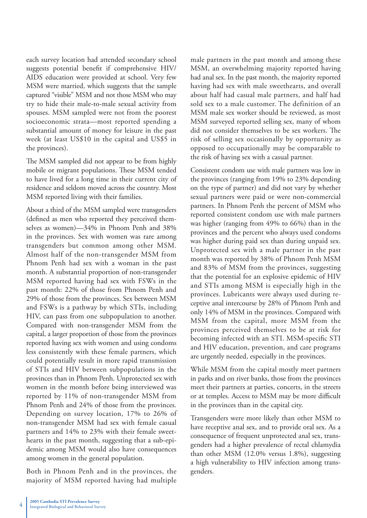each survey location had attended secondary school suggests potential benefit if comprehensive HIV/ AIDS education were provided at school. Very few MSM were married, which suggests that the sample captured "visible" MSM and not those MSM who may try to hide their male-to-male sexual activity from spouses. MSM sampled were not from the poorest socioeconomic strata—most reported spending a substantial amount of money for leisure in the past week (at least US\$10 in the capital and US\$5 in the provinces).

The MSM sampled did not appear to be from highly mobile or migrant populations. These MSM tended to have lived for a long time in their current city of residence and seldom moved across the country. Most MSM reported living with their families.

About a third of the MSM sampled were transgenders (defined as men who reported they perceived themselves as women)—34% in Phnom Penh and 38% in the provinces. Sex with women was rare among transgenders but common among other MSM. Almost half of the non-transgender MSM from Phnom Penh had sex with a woman in the past month. A substantial proportion of non-transgender MSM reported having had sex with FSWs in the past month: 22% of those from Phnom Penh and 29% of those from the provinces. Sex between MSM and FSWs is a pathway by which STIs, including HIV, can pass from one subpopulation to another. Compared with non-transgender MSM from the capital, a larger proportion of those from the provinces reported having sex with women and using condoms less consistently with these female partners, which could potentially result in more rapid transmission of STIs and HIV between subpopulations in the provinces than in Phnom Penh. Unprotected sex with women in the month before being interviewed was reported by 11% of non-transgender MSM from Phnom Penh and 24% of those from the provinces. Depending on survey location, 17% to 26% of non-transgender MSM had sex with female casual partners and 14% to 23% with their female sweethearts in the past month, suggesting that a sub-epidemic among MSM would also have consequences among women in the general population.

Both in Phnom Penh and in the provinces, the majority of MSM reported having had multiple

male partners in the past month and among these MSM, an overwhelming majority reported having had anal sex. In the past month, the majority reported having had sex with male sweethearts, and overall about half had casual male partners, and half had sold sex to a male customer. The definition of an MSM male sex worker should be reviewed, as most MSM surveyed reported selling sex, many of whom did not consider themselves to be sex workers. The risk of selling sex occasionally by opportunity as opposed to occupationally may be comparable to the risk of having sex with a casual partner.

Consistent condom use with male partners was low in the provinces (ranging from 19% to 23% depending on the type of partner) and did not vary by whether sexual partners were paid or were non-commercial partners. In Phnom Penh the percent of MSM who reported consistent condom use with male partners was higher (ranging from 49% to 66%) than in the provinces and the percent who always used condoms was higher during paid sex than during unpaid sex. Unprotected sex with a male partner in the past month was reported by 38% of Phnom Penh MSM and 83% of MSM from the provinces, suggesting that the potential for an explosive epidemic of HIV and STIs among MSM is especially high in the provinces. Lubricants were always used during receptive anal intercourse by 28% of Phnom Penh and only 14% of MSM in the provinces. Compared with MSM from the capital, more MSM from the provinces perceived themselves to be at risk for becoming infected with an STI. MSM-specific STI and HIV education, prevention, and care programs are urgently needed, especially in the provinces.

While MSM from the capital mostly meet partners in parks and on river banks, those from the provinces meet their partners at parties, concerts, in the streets or at temples. Access to MSM may be more difficult in the provinces than in the capital city.

Transgenders were more likely than other MSM to have receptive anal sex, and to provide oral sex. As a consequence of frequent unprotected anal sex, transgenders had a higher prevalence of rectal chlamydia than other MSM (12.0% versus 1.8%), suggesting a high vulnerability to HIV infection among transgenders.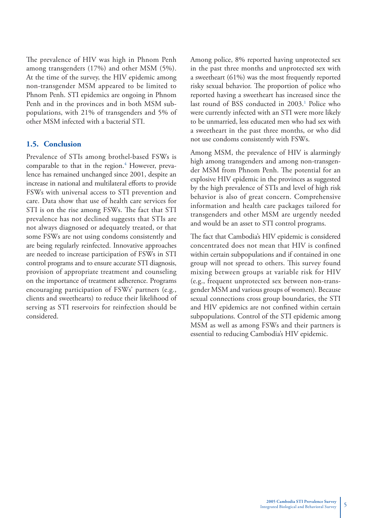The prevalence of HIV was high in Phnom Penh among transgenders (17%) and other MSM (5%). At the time of the survey, the HIV epidemic among non-transgender MSM appeared to be limited to Phnom Penh. STI epidemics are ongoing in Phnom Penh and in the provinces and in both MSM subpopulations, with 21% of transgenders and 5% of other MSM infected with a bacterial STI.

#### **1.5. Conclusion**

Prevalence of STIs among brothel-based FSWs is comparable to that in the region.<sup>4</sup> However, prevalence has remained unchanged since 2001, despite an increase in national and multilateral efforts to provide FSWs with universal access to STI prevention and care. Data show that use of health care services for STI is on the rise among FSWs. The fact that STI prevalence has not declined suggests that STIs are not always diagnosed or adequately treated, or that some FSWs are not using condoms consistently and are being regularly reinfected. Innovative approaches are needed to increase participation of FSWs in STI control programs and to ensure accurate STI diagnosis, provision of appropriate treatment and counseling on the importance of treatment adherence. Programs encouraging participation of FSWs' partners (e.g., clients and sweethearts) to reduce their likelihood of serving as STI reservoirs for reinfection should be considered.

Among police, 8% reported having unprotected sex in the past three months and unprotected sex with a sweetheart (61%) was the most frequently reported risky sexual behavior. The proportion of police who reported having a sweetheart has increased since the last round of BSS conducted in 2003.<sup>1</sup> Police who were currently infected with an STI were more likely to be unmarried, less educated men who had sex with a sweetheart in the past three months, or who did not use condoms consistently with FSWs.

Among MSM, the prevalence of HIV is alarmingly high among transgenders and among non-transgender MSM from Phnom Penh. The potential for an explosive HIV epidemic in the provinces as suggested by the high prevalence of STIs and level of high risk behavior is also of great concern. Comprehensive information and health care packages tailored for transgenders and other MSM are urgently needed and would be an asset to STI control programs.

The fact that Cambodia's HIV epidemic is considered concentrated does not mean that HIV is confined within certain subpopulations and if contained in one group will not spread to others. This survey found mixing between groups at variable risk for HIV (e.g., frequent unprotected sex between non-transgender MSM and various groups of women). Because sexual connections cross group boundaries, the STI and HIV epidemics are not confined within certain subpopulations. Control of the STI epidemic among MSM as well as among FSWs and their partners is essential to reducing Cambodia's HIV epidemic.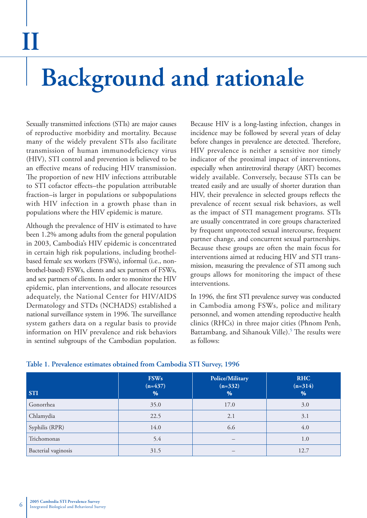### **Background and rationale**

Sexually transmitted infections (STIs) are major causes of reproductive morbidity and mortality. Because many of the widely prevalent STIs also facilitate transmission of human immunodeficiency virus (HIV), STI control and prevention is believed to be an effective means of reducing HIV transmission. The proportion of new HIV infections attributable to STI cofactor effects-the population attributable fraction–is larger in populations or subpopulations with HIV infection in a growth phase than in populations where the HIV epidemic is mature.

Although the prevalence of HIV is estimated to have been 1.2% among adults from the general population in 2003, Cambodia's HIV epidemic is concentrated in certain high risk populations, including brothelbased female sex workers (FSWs), informal (i.e., nonbrothel-based) FSWs, clients and sex partners of FSWs, and sex partners of clients. In order to monitor the HIV epidemic, plan interventions, and allocate resources adequately, the National Center for HIV/AIDS Dermatology and STDs (NCHADS) established a national surveillance system in 1996. The surveillance system gathers data on a regular basis to provide information on HIV prevalence and risk behaviors in sentinel subgroups of the Cambodian population.

Because HIV is a long-lasting infection, changes in incidence may be followed by several years of delay before changes in prevalence are detected. Therefore, HIV prevalence is neither a sensitive nor timely indicator of the proximal impact of interventions, especially when antiretroviral therapy (ART) becomes widely available. Conversely, because STIs can be treated easily and are usually of shorter duration than HIV, their prevalence in selected groups reflects the prevalence of recent sexual risk behaviors, as well as the impact of STI management programs. STIs are usually concentrated in core groups characterized by frequent unprotected sexual intercourse, frequent partner change, and concurrent sexual partnerships. Because these groups are often the main focus for interventions aimed at reducing HIV and STI transmission, measuring the prevalence of STI among such groups allows for monitoring the impact of these interventions.

In 1996, the first STI prevalence survey was conducted in Cambodia among FSWs, police and military personnel, and women attending reproductive health clinics (RHCs) in three major cities (Phnom Penh, Battambang, and Sihanouk Ville).<sup>5</sup> The results were as follows:

| <b>STI</b>          | <b>FSWs</b><br>$(n=437)$<br>% | <b>Police/Military</b><br>$(n=332)$<br>% | <b>RHC</b><br>$(n=314)$<br>% |
|---------------------|-------------------------------|------------------------------------------|------------------------------|
| Gonorrhea           | 35.0                          | 17.0                                     | 3.0                          |
| Chlamydia           | 22.5                          | 2.1                                      | 3.1                          |
| Syphilis (RPR)      | 14.0                          | 6.6                                      | 4.0                          |
| Trichomonas         | 5.4                           | —                                        | 1.0                          |
| Bacterial vaginosis | 31.5                          |                                          | 12.7                         |

#### **Table 1. Prevalence estimates obtained from Cambodia STI Survey, 1996**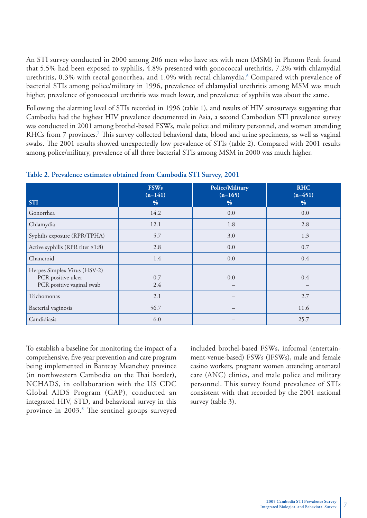An STI survey conducted in 2000 among 206 men who have sex with men (MSM) in Phnom Penh found that 5.5% had been exposed to syphilis, 4.8% presented with gonococcal urethritis, 7.2% with chlamydial urethritis, 0.3% with rectal gonorrhea, and 1.0% with rectal chlamydia.<sup>6</sup> Compared with prevalence of bacterial STIs among police/military in 1996, prevalence of chlamydial urethritis among MSM was much higher, prevalence of gonococcal urethritis was much lower, and prevalence of syphilis was about the same.

Following the alarming level of STIs recorded in 1996 (table 1), and results of HIV serosurveys suggesting that Cambodia had the highest HIV prevalence documented in Asia, a second Cambodian STI prevalence survey was conducted in 2001 among brothel-based FSWs, male police and military personnel, and women attending RHCs from 7 provinces.<sup>7</sup> This survey collected behavioral data, blood and urine specimens, as well as vaginal swabs. The 2001 results showed unexpectedly low prevalence of STIs (table 2). Compared with 2001 results among police/military, prevalence of all three bacterial STIs among MSM in 2000 was much higher.

| <b>STI</b>                                                                      | <b>FSWs</b><br>$(n=141)$<br>$\%$ | <b>Police/Military</b><br>$(n=165)$<br>$\%$ | <b>RHC</b><br>$(n=451)$<br>% |
|---------------------------------------------------------------------------------|----------------------------------|---------------------------------------------|------------------------------|
| Gonorrhea                                                                       | 14.2                             | 0.0                                         | 0.0                          |
| Chlamydia                                                                       | 12.1                             | 1.8                                         | 2.8                          |
| Syphilis exposure (RPR/TPHA)                                                    | 5.7                              | 3.0                                         | 1.3                          |
| Active syphilis (RPR titer $\geq$ 1:8)                                          | 2.8                              | 0.0                                         | 0.7                          |
| Chancroid                                                                       | 1.4                              | 0.0                                         | 0.4                          |
| Herpes Simplex Virus (HSV-2)<br>PCR positive ulcer<br>PCR positive vaginal swab | 0.7<br>2.4                       | 0.0                                         | 0.4                          |
| Trichomonas                                                                     | 2.1                              |                                             | 2.7                          |
| Bacterial vaginosis                                                             | 56.7                             |                                             | 11.6                         |
| Candidiasis                                                                     | 6.0                              |                                             | 25.7                         |

|  |  |  |  |  | Table 2. Prevalence estimates obtained from Cambodia STI Survey, 2001 |  |  |  |
|--|--|--|--|--|-----------------------------------------------------------------------|--|--|--|
|--|--|--|--|--|-----------------------------------------------------------------------|--|--|--|

To establish a baseline for monitoring the impact of a comprehensive, five-year prevention and care program being implemented in Banteay Meanchey province (in northwestern Cambodia on the Thai border), NCHADS, in collaboration with the US CDC Global AIDS Program (GAP), conducted an integrated HIV, STD, and behavioral survey in this province in 2003.<sup>8</sup> The sentinel groups surveyed

included brothel-based FSWs, informal (entertainment-venue-based) FSWs (IFSWs), male and female casino workers, pregnant women attending antenatal care (ANC) clinics, and male police and military personnel. This survey found prevalence of STIs consistent with that recorded by the 2001 national survey (table 3).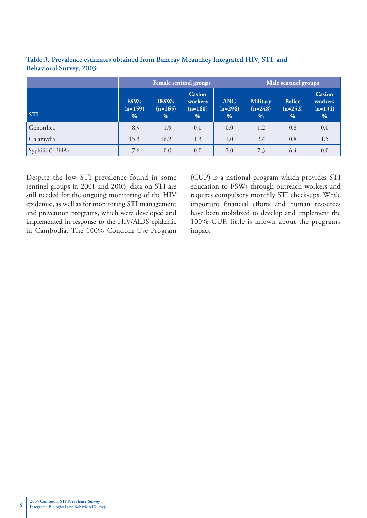|                 |                                  |                                   | Female sentinel groups                        | Male sentinel groups         |                                   |                          |                                     |
|-----------------|----------------------------------|-----------------------------------|-----------------------------------------------|------------------------------|-----------------------------------|--------------------------|-------------------------------------|
| <b>STI</b>      | <b>FSWs</b><br>$(n=159)$<br>$\%$ | <b>IFSWs</b><br>$(n=165)$<br>$\%$ | <b>Casino</b><br>workers<br>$(n=160)$<br>$\%$ | <b>ANC</b><br>$(n=296)$<br>% | <b>Military</b><br>$(n=248)$<br>% | Police<br>$(n=252)$<br>% | Casino<br>workers<br>$(n=134)$<br>% |
| Gonorrhea       | 8.9                              | 1.9                               | 0.0                                           | 0.0                          | 1.2                               | 0.8                      | 0.0                                 |
| Chlamydia       | 15.3                             | 16.2                              | 1.3                                           | 1.0                          | 2.4                               | 0.8                      | 1.5                                 |
| Syphilis (TPHA) | 7.6                              | 0.0                               | 0.0                                           | 2.0                          | 7.3                               | 6.4                      | 0.0                                 |

**Table 3. Prevalence estimates obtained from Banteay Meanchey Integrated HIV, STI, and Behavioral Survey, 2003**

Despite the low STI prevalence found in some sentinel groups in 2001 and 2003, data on STI are still needed for the ongoing monitoring of the HIV epidemic, as well as for monitoring STI management and prevention programs, which were developed and implemented in response to the HIV/AIDS epidemic in Cambodia. The 100% Condom Use Program

(CUP) is a national program which provides STI education to FSWs through outreach workers and requires compulsory monthly STI check-ups. While important financial efforts and human resources have been mobilized to develop and implement the 100% CUP, little is known about the program's impact.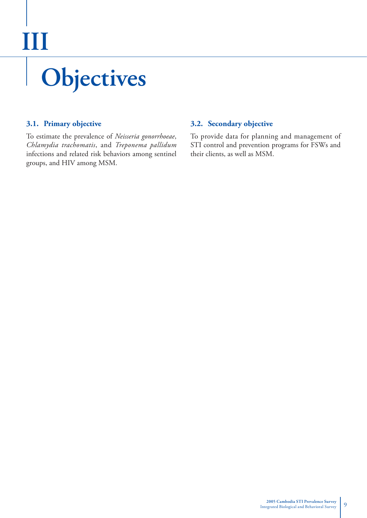# **Objectives III**

#### **3.1. Primary objective**

To estimate the prevalence of *Neisseria gonorrhoeae*, *Chlamydia trachomatis*, and *Treponema pallidum* infections and related risk behaviors among sentinel groups, and HIV among MSM.

#### **3.2. Secondary objective**

To provide data for planning and management of STI control and prevention programs for FSWs and their clients, as well as MSM.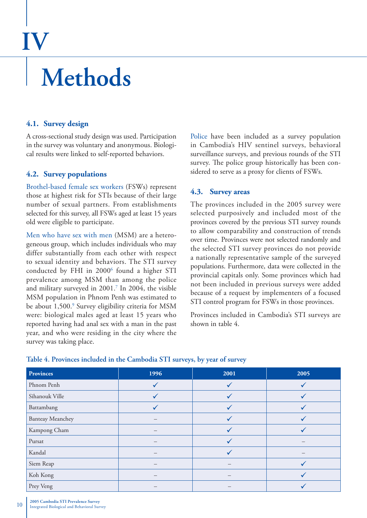### **IV**

### **Methods**

#### **4.1. Survey design**

A cross-sectional study design was used. Participation in the survey was voluntary and anonymous. Biological results were linked to self-reported behaviors.

#### **4.2. Survey populations**

Brothel-based female sex workers (FSWs) represent those at highest risk for STIs because of their large number of sexual partners. From establishments selected for this survey, all FSWs aged at least 15 years old were eligible to participate.

Men who have sex with men (MSM) are a heterogeneous group, which includes individuals who may differ substantially from each other with respect to sexual identity and behaviors. The STI survey conducted by FHI in 2000<sup>6</sup> found a higher STI prevalence among MSM than among the police and military surveyed in 2001.7 In 2004, the visible MSM population in Phnom Penh was estimated to be about 1,500.<sup>9</sup> Survey eligibility criteria for MSM were: biological males aged at least 15 years who reported having had anal sex with a man in the past year, and who were residing in the city where the survey was taking place.

Police have been included as a survey population in Cambodia's HIV sentinel surveys, behavioral surveillance surveys, and previous rounds of the STI survey. The police group historically has been considered to serve as a proxy for clients of FSWs.

#### **4.3. Survey areas**

The provinces included in the 2005 survey were selected purposively and included most of the provinces covered by the previous STI survey rounds to allow comparability and construction of trends over time. Provinces were not selected randomly and the selected STI survey provinces do not provide a nationally representative sample of the surveyed populations. Furthermore, data were collected in the provincial capitals only. Some provinces which had not been included in previous surveys were added because of a request by implementers of a focused STI control program for FSWs in those provinces.

Provinces included in Cambodia's STI surveys are shown in table 4.

| <b>Provinces</b>        | 1996         | 2001 | 2005 |
|-------------------------|--------------|------|------|
| Phnom Penh              | $\checkmark$ |      |      |
| Sihanouk Ville          | $\checkmark$ |      |      |
| Battambang              | $\checkmark$ |      |      |
| <b>Banteay Meanchey</b> |              |      |      |
| Kampong Cham            |              |      |      |
| Pursat                  |              |      |      |
| Kandal                  |              |      |      |
| Siem Reap               |              |      |      |
| Koh Kong                |              |      |      |
| Prey Veng               |              |      |      |

#### **Table 4. Provinces included in the Cambodia STI surveys, by year of survey**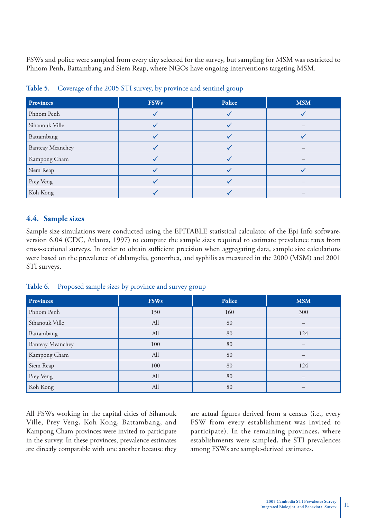FSWs and police were sampled from every city selected for the survey, but sampling for MSM was restricted to Phnom Penh, Battambang and Siem Reap, where NGOs have ongoing interventions targeting MSM.

| Provinces               | <b>FSWs</b> | Police | <b>MSM</b> |
|-------------------------|-------------|--------|------------|
| Phnom Penh              |             |        |            |
| Sihanouk Ville          |             |        |            |
| Battambang              |             |        |            |
| <b>Banteay Meanchey</b> |             |        |            |
| Kampong Cham            |             |        |            |
| Siem Reap               |             |        |            |
| Prey Veng               |             |        |            |
| Koh Kong                |             |        |            |

|  |  | Table 5. Coverage of the 2005 STI survey, by province and sentinel group |
|--|--|--------------------------------------------------------------------------|
|  |  |                                                                          |

#### **4.4. Sample sizes**

Sample size simulations were conducted using the EPITABLE statistical calculator of the Epi Info software, version 6.04 (CDC, Atlanta, 1997) to compute the sample sizes required to estimate prevalence rates from cross-sectional surveys. In order to obtain sufficient precision when aggregating data, sample size calculations were based on the prevalence of chlamydia, gonorrhea, and syphilis as measured in the 2000 (MSM) and 2001 STI surveys.

| Table 6. Proposed sample sizes by province and survey group |  |  |  |  |
|-------------------------------------------------------------|--|--|--|--|
|                                                             |  |  |  |  |

| <b>Provinces</b>        | <b>FSWs</b> | Police | <b>MSM</b> |
|-------------------------|-------------|--------|------------|
| Phnom Penh              | 150         | 160    | 300        |
| Sihanouk Ville          | All         | 80     |            |
| Battambang              | All         | 80     | 124        |
| <b>Banteay Meanchey</b> | 100         | 80     |            |
| Kampong Cham            | All         | 80     |            |
| Siem Reap               | 100         | 80     | 124        |
| Prey Veng               | All         | 80     |            |
| Koh Kong                | All         | 80     |            |

All FSWs working in the capital cities of Sihanouk Ville, Prey Veng, Koh Kong, Battambang, and Kampong Cham provinces were invited to participate in the survey. In these provinces, prevalence estimates are directly comparable with one another because they are actual figures derived from a census (i.e., every FSW from every establishment was invited to participate). In the remaining provinces, where establishments were sampled, the STI prevalences among FSWs are sample-derived estimates.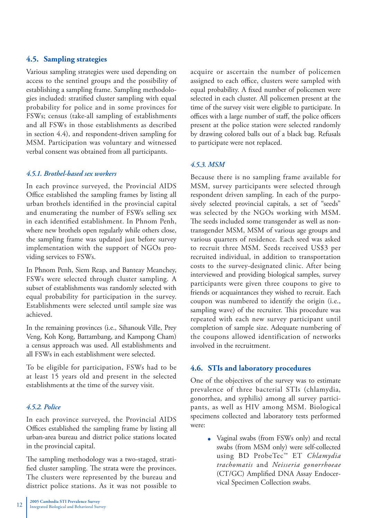#### **4.5. Sampling strategies**

Various sampling strategies were used depending on access to the sentinel groups and the possibility of establishing a sampling frame. Sampling methodologies included: stratified cluster sampling with equal probability for police and in some provinces for FSWs; census (take-all sampling of establishments and all FSWs in those establishments as described in section 4.4), and respondent-driven sampling for MSM. Participation was voluntary and witnessed verbal consent was obtained from all participants.

#### *4.5.1. Brothel-based sex workers*

In each province surveyed, the Provincial AIDS Office established the sampling frames by listing all urban brothels identified in the provincial capital and enumerating the number of FSWs selling sex in each identified establishment. In Phnom Penh, where new brothels open regularly while others close, the sampling frame was updated just before survey implementation with the support of NGOs providing services to FSWs.

In Phnom Penh, Siem Reap, and Banteay Meanchey, FSWs were selected through cluster sampling. A subset of establishments was randomly selected with equal probability for participation in the survey. Establishments were selected until sample size was achieved.

In the remaining provinces (i.e., Sihanouk Ville, Prey Veng, Koh Kong, Battambang, and Kampong Cham) a census approach was used. All establishments and all FSWs in each establishment were selected.

To be eligible for participation, FSWs had to be at least 15 years old and present in the selected establishments at the time of the survey visit.

#### *4.5.2. Police*

In each province surveyed, the Provincial AIDS Offices established the sampling frame by listing all urban-area bureau and district police stations located in the provincial capital.

The sampling methodology was a two-staged, stratified cluster sampling. The strata were the provinces. The clusters were represented by the bureau and district police stations. As it was not possible to

acquire or ascertain the number of policemen assigned to each office, clusters were sampled with equal probability. A fixed number of policemen were selected in each cluster. All policemen present at the time of the survey visit were eligible to participate. In offices with a large number of staff, the police officers present at the police station were selected randomly by drawing colored balls out of a black bag. Refusals to participate were not replaced.

#### *4.5.3. MSM*

Because there is no sampling frame available for MSM, survey participants were selected through respondent driven sampling. In each of the purposively selected provincial capitals, a set of "seeds" was selected by the NGOs working with MSM. The seeds included some transgender as well as nontransgender MSM, MSM of various age groups and various quarters of residence. Each seed was asked to recruit three MSM. Seeds received US\$3 per recruited individual, in addition to transportation costs to the survey-designated clinic. After being interviewed and providing biological samples, survey participants were given three coupons to give to friends or acquaintances they wished to recruit. Each coupon was numbered to identify the origin (i.e., sampling wave) of the recruiter. This procedure was repeated with each new survey participant until completion of sample size. Adequate numbering of the coupons allowed identification of networks involved in the recruitment.

#### **4.6. STIs and laboratory procedures**

One of the objectives of the survey was to estimate prevalence of three bacterial STIs (chlamydia, gonorrhea, and syphilis) among all survey participants, as well as HIV among MSM. Biological specimens collected and laboratory tests performed were:

> Vaginal swabs (from FSWs only) and rectal swabs (from MSM only) were self-collected using BD ProbeTec™ ET *Chlamydia trachomatis* and *Neisseria gonorrhoeae* (CT/GC) Amplified DNA Assay Endocervical Specimen Collection swabs.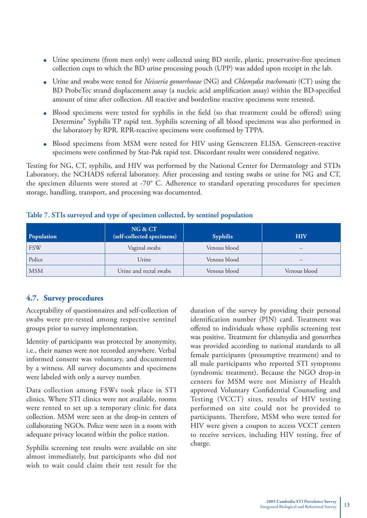- Urine specimens (from men only) were collected using BD sterile, plastic, preservative-free specimen collection cups to which the BD urine processing pouch (UPP) was added upon receipt in the lab.
- Urine and swabs were tested for *Neisseria gonorrhoeae* (NG) and *Chlamydia trachomatis* (CT) using the BD ProbeTec strand displacement assay (a nucleic acid amplification assay) within the BD-specified amount of time after collection. All reactive and borderline reactive specimens were retested.
- Blood specimens were tested for syphilis in the field (so that treatment could be offered) using Determine® Syphilis TP rapid test. Syphilis screening of all blood specimens was also performed in the laboratory by RPR. RPR-reactive specimens were confirmed by TPPA.
- Blood specimens from MSM were tested for HIV using Genscreen ELISA. Genscreen-reactive specimens were confirmed by Stat-Pak rapid test. Discordant results were considered negative.

Testing for NG, CT, syphilis, and HIV was performed by the National Center for Dermatology and STDs Laboratory, the NCHADS referral laboratory. After processing and testing swabs or urine for NG and CT, the specimen diluents were stored at -70° C. Adherence to standard operating procedures for specimen storage, handling, transport, and processing was documented.

| Population | NG & CT<br>(self-collected specimens) | <b>Syphilis</b> | <b>HIV</b>   |
|------------|---------------------------------------|-----------------|--------------|
| <b>FSW</b> | Vaginal swabs                         | Venous blood    |              |
| Police     | Urine                                 | Venous blood    |              |
| <b>MSM</b> | Urine and rectal swabs                | Venous blood    | Venous blood |

#### **Table 7. STIs surveyed and type of specimen collected, by sentinel population**

#### **4.7. Survey procedures**

Acceptability of questionnaires and self-collection of swabs were pre-tested among respective sentinel groups prior to survey implementation.

Identity of participants was protected by anonymity, i.e., their names were not recorded anywhere. Verbal informed consent was voluntary, and documented by a witness. All survey documents and specimens were labeled with only a survey number.

Data collection among FSWs took place in STI clinics. Where STI clinics were not available, rooms were rented to set up a temporary clinic for data collection. MSM were seen at the drop-in centers of collaborating NGOs. Police were seen in a room with adequate privacy located within the police station.

Syphilis screening test results were available on site almost immediately, but participants who did not wish to wait could claim their test result for the

duration of the survey by providing their personal identification number (PIN) card. Treatment was offered to individuals whose syphilis screening test was positive. Treatment for chlamydia and gonorrhea was provided according to national standards to all female participants (presumptive treatment) and to all male participants who reported STI symptoms (syndromic treatment). Because the NGO drop-in centers for MSM were not Ministry of Health approved Voluntary Confidential Counseling and Testing (VCCT) sites, results of HIV testing performed on site could not be provided to participants. Therefore, MSM who were tested for HIV were given a coupon to access VCCT centers to receive services, including HIV testing, free of charge.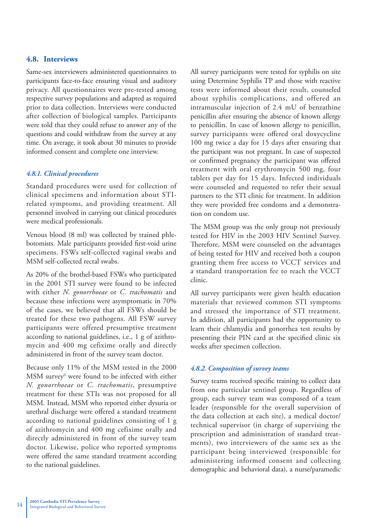#### **4.8. Interviews**

Same-sex interviewers administered questionnaires to participants face-to-face ensuring visual and auditory privacy. All questionnaires were pre-tested among respective survey populations and adapted as required prior to data collection. Interviews were conducted after collection of biological samples. Participants were told that they could refuse to answer any of the questions and could withdraw from the survey at any time. On average, it took about 30 minutes to provide informed consent and complete one interview.

#### *4.8.1. Clinical procedures*

Standard procedures were used for collection of clinical specimens and information about STIrelated symptoms, and providing treatment. All personnel involved in carrying out clinical procedures were medical professionals.

Venous blood (8 ml) was collected by trained phlebotomists. Male participants provided first-void urine specimens. FSWs self-collected vaginal swabs and MSM self-collected rectal swabs.

As 20% of the brothel-based FSWs who participated in the 2001 STI survey were found to be infected with either *N. gonorrhoeae* or *C. trachomatis* and because these infections were asymptomatic in 70% of the cases, we believed that all FSWs should be treated for these two pathogens. All FSW survey participants were offered presumptive treatment according to national guidelines, i.e., 1 g of azithromycin and 400 mg cefixime orally and directly administered in front of the survey team doctor.

Because only 11% of the MSM tested in the 2000 MSM survey<sup>6</sup> were found to be infected with either *N. gonorrhoeae* or *C. trachomatis*, presumptive treatment for these STIs was not proposed for all MSM. Instead, MSM who reported either dysuria or urethral discharge were offered a standard treatment according to national guidelines consisting of 1 g of azithromycin and 400 mg cefixime orally and directly administered in front of the survey team doctor. Likewise, police who reported symptoms were offered the same standard treatment according to the national guidelines.

All survey participants were tested for syphilis on site using Determine Syphilis TP and those with reactive tests were informed about their result, counseled about syphilis complications, and offered an intramuscular injection of 2.4 mU of benzathine penicillin after ensuring the absence of known allergy to penicillin. In case of known allergy to penicillin, survey participants were offered oral doxycycline 100 mg twice a day for 15 days after ensuring that the participant was not pregnant. In case of suspected or confirmed pregnancy the participant was offered treatment with oral erythromycin 500 mg, four tablets per day for 15 days. Infected individuals were counseled and requested to refer their sexual partners to the STI clinic for treatment. In addition they were provided free condoms and a demonstration on condom use.

The MSM group was the only group not previously tested for HIV in the 2003 HIV Sentinel Survey. Therefore, MSM were counseled on the advantages of being tested for HIV and received both a coupon granting them free access to VCCT services and a standard transportation fee to reach the VCCT clinic.

All survey participants were given health education materials that reviewed common STI symptoms and stressed the importance of STI treatment. In addition, all participants had the opportunity to learn their chlamydia and gonorrhea test results by presenting their PIN card at the specified clinic six weeks after specimen collection.

#### *4.8.2. Composition of survey teams*

Survey teams received specific training to collect data from one particular sentinel group. Regardless of group, each survey team was composed of a team leader (responsible for the overall supervision of the data collection at each site), a medical doctor/ technical supervisor (in charge of supervising the prescription and administration of standard treatments), two interviewers of the same sex as the participant being interviewed (responsible for administering informed consent and collecting demographic and behavioral data), a nurse/paramedic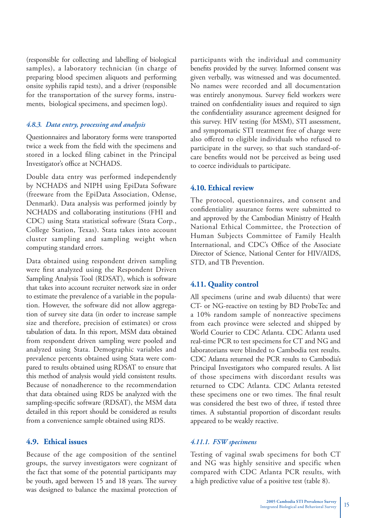(responsible for collecting and labelling of biological samples), a laboratory technician (in charge of preparing blood specimen aliquots and performing onsite syphilis rapid tests), and a driver (responsible for the transportation of the survey forms, instruments, biological specimens, and specimen logs).

#### *4.8.3. Data entry, processing and analysis*

Questionnaires and laboratory forms were transported twice a week from the field with the specimens and stored in a locked filing cabinet in the Principal Investigator's office at NCHADS.

Double data entry was performed independently by NCHADS and NIPH using EpiData Software (freeware from the EpiData Association, Odense, Denmark). Data analysis was performed jointly by NCHADS and collaborating institutions (FHI and CDC) using Stata statistical software (Stata Corp., College Station, Texas). Stata takes into account cluster sampling and sampling weight when computing standard errors.

Data obtained using respondent driven sampling were first analyzed using the Respondent Driven Sampling Analysis Tool (RDSAT), which is software that takes into account recruiter network size in order to estimate the prevalence of a variable in the population. However, the software did not allow aggregation of survey site data (in order to increase sample size and therefore, precision of estimates) or cross tabulation of data. In this report, MSM data obtained from respondent driven sampling were pooled and analyzed using Stata. Demographic variables and prevalence percents obtained using Stata were compared to results obtained using RDSAT to ensure that this method of analysis would yield consistent results. Because of nonadherence to the recommendation that data obtained using RDS be analyzed with the sampling-specific software (RDSAT), the MSM data detailed in this report should be considered as results from a convenience sample obtained using RDS.

#### **4.9. Ethical issues**

Because of the age composition of the sentinel groups, the survey investigators were cognizant of the fact that some of the potential participants may be youth, aged between 15 and 18 years. The survey was designed to balance the maximal protection of participants with the individual and community benefits provided by the survey. Informed consent was given verbally, was witnessed and was documented. No names were recorded and all documentation was entirely anonymous. Survey field workers were trained on confidentiality issues and required to sign the confidentiality assurance agreement designed for this survey. HIV testing (for MSM), STI assessment, and symptomatic STI treatment free of charge were also offered to eligible individuals who refused to participate in the survey, so that such standard-ofcare benefits would not be perceived as being used to coerce individuals to participate.

#### **4.10. Ethical review**

The protocol, questionnaires, and consent and confidentiality assurance forms were submitted to and approved by the Cambodian Ministry of Health National Ethical Committee, the Protection of Human Subjects Committee of Family Health International, and CDC's Office of the Associate Director of Science, National Center for HIV/AIDS, STD, and TB Prevention.

#### **4.11. Quality control**

All specimens (urine and swab diluents) that were CT- or NG-reactive on testing by BD ProbeTec and a 10% random sample of nonreactive specimens from each province were selected and shipped by World Courier to CDC Atlanta. CDC Atlanta used real-time PCR to test specimens for CT and NG and laboratorians were blinded to Cambodia test results. CDC Atlanta returned the PCR results to Cambodia's Principal Investigators who compared results. A list of those specimens with discordant results was returned to CDC Atlanta. CDC Atlanta retested these specimens one or two times. The final result was considered the best two of three, if tested three times. A substantial proportion of discordant results appeared to be weakly reactive.

#### *4.11.1. FSW specimens*

Testing of vaginal swab specimens for both CT and NG was highly sensitive and specific when compared with CDC Atlanta PCR results, with a high predictive value of a positive test (table 8).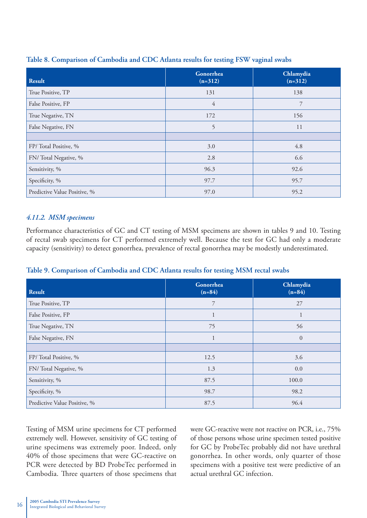| Result                       | Gonorrhea<br>$(n=312)$ | Chlamydia<br>$(n=312)$ |
|------------------------------|------------------------|------------------------|
| True Positive, TP            | 131                    | 138                    |
| False Positive, FP           | $\overline{4}$         | 7                      |
| True Negative, TN            | 172                    | 156                    |
| False Negative, FN           | 5                      | 11                     |
|                              |                        |                        |
| FP/Total Positive, %         | 3.0                    | 4.8                    |
| FN/Total Negative, %         | 2.8                    | 6.6                    |
| Sensitivity, %               | 96.3                   | 92.6                   |
| Specificity, %               | 97.7                   | 95.7                   |
| Predictive Value Positive, % | 97.0                   | 95.2                   |

#### **Table 8. Comparison of Cambodia and CDC Atlanta results for testing FSW vaginal swabs**

#### *4.11.2. MSM specimens*

Performance characteristics of GC and CT testing of MSM specimens are shown in tables 9 and 10. Testing of rectal swab specimens for CT performed extremely well. Because the test for GC had only a moderate capacity (sensitivity) to detect gonorrhea, prevalence of rectal gonorrhea may be modestly underestimated.

| <b>Result</b>                | Gonorrhea<br>$(n=84)$ | Chlamydia<br>$(n=84)$ |
|------------------------------|-----------------------|-----------------------|
| True Positive, TP            | 7                     | 27                    |
| False Positive, FP           | 1                     |                       |
| True Negative, TN            | 75                    | 56                    |
| False Negative, FN           | 1                     | $\overline{0}$        |
|                              |                       |                       |
| FP/Total Positive, %         | 12.5                  | 3.6                   |
| FN/Total Negative, %         | 1.3                   | 0.0                   |
| Sensitivity, %               | 87.5                  | 100.0                 |
| Specificity, %               | 98.7                  | 98.2                  |
| Predictive Value Positive, % | 87.5                  | 96.4                  |

#### **Table 9. Comparison of Cambodia and CDC Atlanta results for testing MSM rectal swabs**

Testing of MSM urine specimens for CT performed extremely well. However, sensitivity of GC testing of urine specimens was extremely poor. Indeed, only 40% of those specimens that were GC-reactive on PCR were detected by BD ProbeTec performed in Cambodia. Three quarters of those specimens that

were GC-reactive were not reactive on PCR, i.e., 75% of those persons whose urine specimen tested positive for GC by ProbeTec probably did not have urethral gonorrhea. In other words, only quarter of those specimens with a positive test were predictive of an actual urethral GC infection.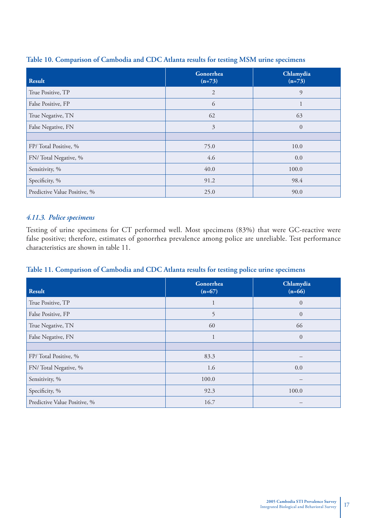| <b>Result</b>                | Gonorrhea<br>$(n=73)$ | Chlamydia<br>$(n=73)$ |
|------------------------------|-----------------------|-----------------------|
| True Positive, TP            | $\overline{2}$        | 9                     |
| False Positive, FP           | 6                     | $\perp$               |
| True Negative, TN            | 62                    | 63                    |
| False Negative, FN           | $\mathfrak{Z}$        | $\overline{0}$        |
|                              |                       |                       |
| FP/Total Positive, %         | 75.0                  | 10.0                  |
| FN/Total Negative, %         | 4.6                   | 0.0                   |
| Sensitivity, %               | 40.0                  | 100.0                 |
| Specificity, %               | 91.2                  | 98.4                  |
| Predictive Value Positive, % | 25.0                  | 90.0                  |

#### **Table 10. Comparison of Cambodia and CDC Atlanta results for testing MSM urine specimens**

#### *4.11.3. Police specimens*

Testing of urine specimens for CT performed well. Most specimens (83%) that were GC-reactive were false positive; therefore, estimates of gonorrhea prevalence among police are unreliable. Test performance characteristics are shown in table 11.

#### **Table 11. Comparison of Cambodia and CDC Atlanta results for testing police urine specimens**

| <b>Result</b>                | Gonorrhea<br>$(n=67)$ | Chlamydia<br>$(n=66)$ |
|------------------------------|-----------------------|-----------------------|
| True Positive, TP            | ш                     | $\overline{0}$        |
| False Positive, FP           | 5                     | $\overline{0}$        |
| True Negative, TN            | 60                    | 66                    |
| False Negative, FN           | 1                     | $\overline{0}$        |
|                              |                       |                       |
| FP/Total Positive, %         | 83.3                  |                       |
| FN/Total Negative, %         | 1.6                   | 0.0                   |
| Sensitivity, %               | 100.0                 |                       |
| Specificity, %               | 92.3                  | 100.0                 |
| Predictive Value Positive, % | 16.7                  |                       |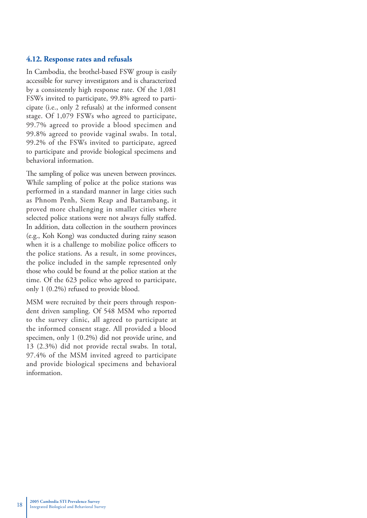#### **4.12. Response rates and refusals**

In Cambodia, the brothel-based FSW group is easily accessible for survey investigators and is characterized by a consistently high response rate. Of the 1,081 FSWs invited to participate, 99.8% agreed to participate (i.e., only 2 refusals) at the informed consent stage. Of 1,079 FSWs who agreed to participate, 99.7% agreed to provide a blood specimen and 99.8% agreed to provide vaginal swabs. In total, 99.2% of the FSWs invited to participate, agreed to participate and provide biological specimens and behavioral information.

The sampling of police was uneven between provinces. While sampling of police at the police stations was performed in a standard manner in large cities such as Phnom Penh, Siem Reap and Battambang, it proved more challenging in smaller cities where selected police stations were not always fully staffed. In addition, data collection in the southern provinces (e.g., Koh Kong) was conducted during rainy season when it is a challenge to mobilize police officers to the police stations. As a result, in some provinces, the police included in the sample represented only those who could be found at the police station at the time. Of the 623 police who agreed to participate, only 1 (0.2%) refused to provide blood.

MSM were recruited by their peers through respondent driven sampling. Of 548 MSM who reported to the survey clinic, all agreed to participate at the informed consent stage. All provided a blood specimen, only 1 (0.2%) did not provide urine, and 13 (2.3%) did not provide rectal swabs. In total, 97.4% of the MSM invited agreed to participate and provide biological specimens and behavioral information.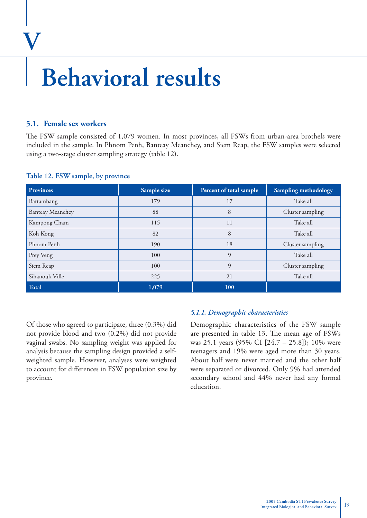### **Behavioral results**

#### **5.1. Female sex workers**

**V**

The FSW sample consisted of 1,079 women. In most provinces, all FSWs from urban-area brothels were included in the sample. In Phnom Penh, Banteay Meanchey, and Siem Reap, the FSW samples were selected using a two-stage cluster sampling strategy (table 12).

| <b>Provinces</b>        | Sample size | Percent of total sample | Sampling methodology |
|-------------------------|-------------|-------------------------|----------------------|
| Battambang              | 179         | 17                      | Take all             |
| <b>Banteay Meanchey</b> | 88          | 8                       | Cluster sampling     |
| Kampong Cham            | 115         | 11                      | Take all             |
| Koh Kong                | 82          | 8                       | Take all             |
| Phnom Penh              | 190         | 18                      | Cluster sampling     |
| Prey Veng               | 100         | 9                       | Take all             |
| Siem Reap               | 100         | 9                       | Cluster sampling     |
| Sihanouk Ville          | 225         | 21                      | Take all             |
| Total                   | 1,079       | 100                     |                      |

#### **Table 12. FSW sample, by province**

Of those who agreed to participate, three (0.3%) did not provide blood and two (0.2%) did not provide vaginal swabs. No sampling weight was applied for analysis because the sampling design provided a selfweighted sample. However, analyses were weighted to account for differences in FSW population size by province.

#### *5.1.1. Demographic characteristics*

Demographic characteristics of the FSW sample are presented in table 13. The mean age of FSWs was 25.1 years (95% CI [24.7 – 25.8]); 10% were teenagers and 19% were aged more than 30 years. About half were never married and the other half were separated or divorced. Only 9% had attended secondary school and 44% never had any formal education.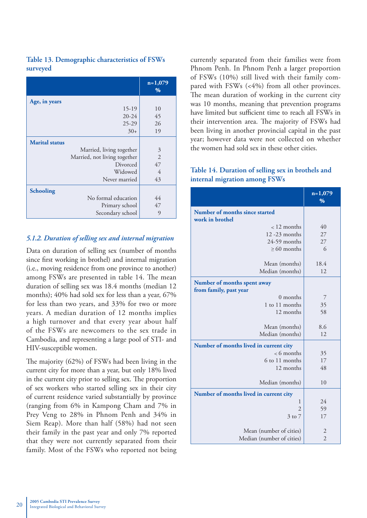|          | Table 13. Demographic characteristics of FSWs |
|----------|-----------------------------------------------|
| surveyed |                                               |

|                              | $n=1,079$<br>$\%$ |
|------------------------------|-------------------|
| Age, in years                |                   |
| $15-19$                      | 10                |
| $20 - 24$                    | 45                |
| $25 - 29$                    | 26                |
| $30+$                        | 19                |
| <b>Marital status</b>        |                   |
| Married, living together     | 3                 |
| Married, not living together | 2                 |
| Divorced                     | 47                |
| Widowed                      | $\overline{4}$    |
| Never married                | 43                |
| <b>Schooling</b>             |                   |
| No formal education          | 44                |
| Primary school               | 47                |
| Secondary school             | 9                 |

#### *5.1.2. Duration of selling sex and internal migration*

Data on duration of selling sex (number of months since first working in brothel) and internal migration (i.e., moving residence from one province to another) among FSWs are presented in table 14. The mean duration of selling sex was 18.4 months (median 12 months); 40% had sold sex for less than a year, 67% for less than two years, and 33% for two or more years. A median duration of 12 months implies a high turnover and that every year about half of the FSWs are newcomers to the sex trade in Cambodia, and representing a large pool of STI- and HIV-susceptible women.

The majority  $(62%)$  of FSWs had been living in the current city for more than a year, but only 18% lived in the current city prior to selling sex. The proportion of sex workers who started selling sex in their city of current residence varied substantially by province (ranging from 6% in Kampong Cham and 7% in Prey Veng to 28% in Phnom Penh and 34% in Siem Reap). More than half (58%) had not seen their family in the past year and only 7% reported that they were not currently separated from their family. Most of the FSWs who reported not being

currently separated from their families were from Phnom Penh. In Phnom Penh a larger proportion of FSWs (10%) still lived with their family compared with FSWs (<4%) from all other provinces. The mean duration of working in the current city was 10 months, meaning that prevention programs have limited but sufficient time to reach all FSWs in their intervention area. The majority of FSWs had been living in another provincial capital in the past year; however data were not collected on whether the women had sold sex in these other cities.

#### **Table 14. Duration of selling sex in brothels and internal migration among FSWs**

|                                                   | $n=1,079$<br>% |
|---------------------------------------------------|----------------|
| Number of months since started<br>work in brothel |                |
| $<$ 12 months                                     | 40             |
| 12-23 months                                      | 27             |
| 24-59 months                                      | 27             |
| $>60$ months                                      | 6              |
| Mean (months)                                     | 18.4           |
| Median (months)                                   | 12             |
| Number of months spent away                       |                |
| from family, past year<br>$0$ months              | 7              |
| 1 to 11 months                                    | 35             |
| 12 months                                         | 58             |
|                                                   |                |
| Mean (months)                                     | 8.6            |
| Median (months)                                   | 12             |
| Number of months lived in current city            |                |
| $< 6$ months                                      | 35             |
| 6 to 11 months                                    | 17             |
| 12 months                                         | 48             |
| Median (months)                                   | 10             |
| Number of months lived in current city            |                |
| 1                                                 | 24             |
| $\mathfrak{D}$                                    | 59             |
| $3$ to $7$                                        | 17             |
| Mean (number of cities)                           | $\overline{2}$ |
| Median (number of cities)                         | $\overline{2}$ |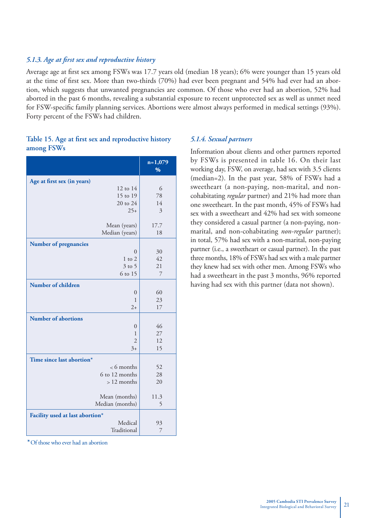#### *5.1.3. Age at fi rst sex and reproductive history*

Average age at first sex among FSWs was 17.7 years old (median 18 years); 6% were younger than 15 years old at the time of first sex. More than two-thirds (70%) had ever been pregnant and 54% had ever had an abortion, which suggests that unwanted pregnancies are common. Of those who ever had an abortion, 52% had aborted in the past 6 months, revealing a substantial exposure to recent unprotected sex as well as unmet need for FSW-specific family planning services. Abortions were almost always performed in medical settings (93%). Forty percent of the FSWs had children.

|                                 | $n=1,079$<br>% |
|---------------------------------|----------------|
| Age at first sex (in years)     |                |
| 12 to 14                        | 6              |
| 15 to 19                        | 78             |
| 20 to 24                        | 14             |
| $25+$                           | 3              |
| Mean (years)                    | 17.7           |
| Median (years)                  | 18             |
| <b>Number of pregnancies</b>    |                |
| $\theta$                        | 30             |
| $1$ to $2$                      | 42             |
| $3$ to 5                        | 21             |
| 6 to 15                         | 7              |
| Number of children              |                |
| $\overline{0}$                  | 60             |
| 1                               | 23             |
| $2+$                            | 17             |
| <b>Number of abortions</b>      |                |
| $\overline{0}$                  | 46             |
| 1                               | 27             |
| $\overline{2}$                  | 12             |
| $3+$                            | 15             |
| Time since last abortion*       |                |
| <6 months                       | 52             |
| 6 to 12 months                  | 28             |
| $>12$ months                    | 20             |
| Mean (months)                   | 11.3           |
| Median (months)                 | 5              |
| Facility used at last abortion* |                |
| Medical                         | 93             |
| Traditional                     | 7              |

#### Table 15. Age at first sex and reproductive history **among FSWs**

*\** Of those who ever had an abortion

#### *5.1.4. Sexual partners*

Information about clients and other partners reported by FSWs is presented in table 16. On their last working day, FSW, on average, had sex with 3.5 clients (median=2). In the past year, 58% of FSWs had a sweetheart (a non-paying, non-marital, and noncohabitating *regular* partner) and 21% had more than one sweetheart. In the past month, 45% of FSWs had sex with a sweetheart and 42% had sex with someone they considered a casual partner (a non-paying, nonmarital, and non-cohabitating *non-regular* partner); in total, 57% had sex with a non-marital, non-paying partner (i.e., a sweetheart or casual partner). In the past three months, 18% of FSWs had sex with a male partner they knew had sex with other men. Among FSWs who had a sweetheart in the past 3 months, 96% reported having had sex with this partner (data not shown).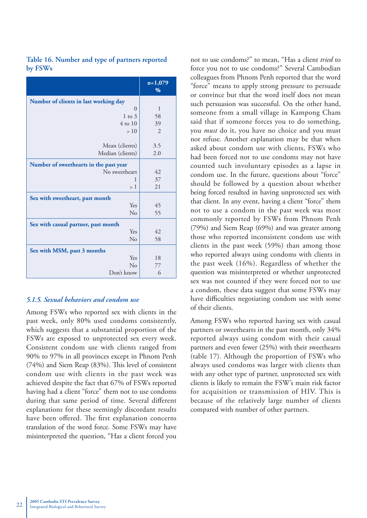|                                        | $n=1,079$<br>$\%$ |
|----------------------------------------|-------------------|
| Number of clients in last working day  |                   |
| $\overline{0}$                         | 1                 |
| $1$ to $3$                             | 58                |
| $4 \text{ to } 10$                     | 39                |
| >10                                    | $\overline{2}$    |
|                                        |                   |
| Mean (clients)                         | 3.5               |
| Median (clients)                       | 2.0               |
| Number of sweethearts in the past year |                   |
| No sweetheart                          | 42                |
| 1                                      | 37                |
| >1                                     | 21                |
| Sex with sweetheart, past month        |                   |
| Yes                                    | 45                |
| $\rm No$                               | 55                |
| Sex with casual partner, past month    |                   |
| Yes                                    | 42                |
| N <sub>o</sub>                         | 58                |
| Sex with MSM, past 3 months            |                   |
| Yes                                    | 18                |
| No                                     | 77                |
| Don't know                             | 6                 |

#### **Table 16. Number and type of partners reported by FSWs**

#### *5.1.5. Sexual behaviors and condom use*

Among FSWs who reported sex with clients in the past week, only 80% used condoms consistently, which suggests that a substantial proportion of the FSWs are exposed to unprotected sex every week. Consistent condom use with clients ranged from 90% to 97% in all provinces except in Phnom Penh  $(74%)$  and Siem Reap  $(83%)$ . This level of consistent condom use with clients in the past week was achieved despite the fact that 67% of FSWs reported having had a client "force" them not to use condoms during that same period of time. Several different explanations for these seemingly discordant results have been offered. The first explanation concerns translation of the word force. Some FSWs may have misinterpreted the question, "Has a client forced you

not to use condoms?" to mean, "Has a client *tried* to force you not to use condoms?" Several Cambodian colleagues from Phnom Penh reported that the word "force" means to apply strong pressure to persuade or convince but that the word itself does not mean such persuasion was successful. On the other hand, someone from a small village in Kampong Cham said that if someone forces you to do something, you *must* do it, you have no choice and you must not refuse. Another explanation may be that when asked about condom use with clients, FSWs who had been forced not to use condoms may not have counted such involuntary episodes as a lapse in condom use. In the future, questions about "force" should be followed by a question about whether being forced resulted in having unprotected sex with that client. In any event, having a client "force" them not to use a condom in the past week was most commonly reported by FSWs from Phnom Penh (79%) and Siem Reap (69%) and was greater among those who reported inconsistent condom use with clients in the past week (59%) than among those who reported always using condoms with clients in the past week (16%). Regardless of whether the question was misinterpreted or whether unprotected sex was not counted if they were forced not to use a condom, these data suggest that some FSWs may have difficulties negotiating condom use with some of their clients.

Among FSWs who reported having sex with casual partners or sweethearts in the past month, only 34% reported always using condom with their casual partners and even fewer (25%) with their sweethearts (table 17). Although the proportion of FSWs who always used condoms was larger with clients than with any other type of partner, unprotected sex with clients is likely to remain the FSW's main risk factor for acquisition or transmission of HIV. This is because of the relatively large number of clients compared with number of other partners.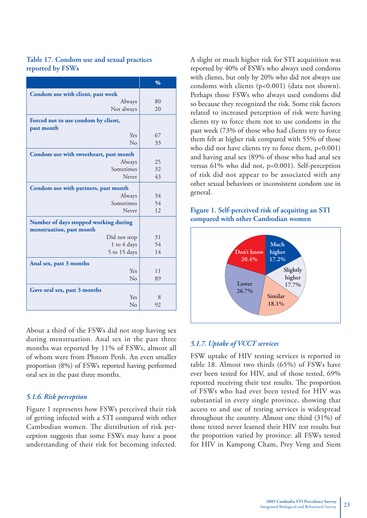#### **Table 17. Condom use and sexual practices reported by FSWs**

|                                                                   | $\frac{0}{0}$ |
|-------------------------------------------------------------------|---------------|
| Condom use with client, past week                                 |               |
| Always                                                            | 80            |
| Not always                                                        | 20            |
| Forced not to use condom by client,<br>past month                 |               |
| Yes                                                               | 67            |
| N <sub>0</sub>                                                    | 33            |
| Condom use with sweetheart, past month                            |               |
| Always                                                            | 25            |
| Sometimes                                                         | 32            |
| Never                                                             | 43            |
| Condom use with partners, past month                              |               |
| Always                                                            | 34            |
| Sometimes                                                         | 54            |
| Never                                                             | 12            |
| Number of days stopped working during<br>menstruation, past month |               |
| Did not stop                                                      | 31            |
| 1 to 4 days                                                       | 54            |
| 5 to 15 days                                                      | 14            |
| Anal sex, past 3 months                                           |               |
| Yes                                                               | 11            |
| N <sub>0</sub>                                                    | 89            |
| Gave oral sex, past 3 months                                      |               |
| Yes                                                               | 8             |
| No                                                                | 92            |

About a third of the FSWs did not stop having sex during menstruation. Anal sex in the past three months was reported by 11% of FSWs, almost all of whom were from Phnom Penh. An even smaller proportion (8%) of FSWs reported having performed oral sex in the past three months.

#### *5.1.6. Risk perception*

Figure 1 represents how FSWs perceived their risk of getting infected with a STI compared with other Cambodian women. The distribution of risk perception suggests that some FSWs may have a poor understanding of their risk for becoming infected. A slight or much higher risk for STI acquisition was reported by 40% of FSWs who always used condoms with clients, but only by 20% who did not always use condoms with clients (p<0.001) (data not shown). Perhaps those FSWs who always used condoms did so because they recognized the risk. Some risk factors related to increased perception of risk were having clients try to force them not to use condoms in the past week (73% of those who had clients try to force them felt at higher risk compared with 55% of those who did not have clients try to force them,  $p<0.001$ ) and having anal sex (89% of those who had anal sex versus 61% who did not, p=0.001). Self-perception of risk did not appear to be associated with any other sexual behaviors or inconsistent condom use in general.

#### **Figure 1. Self-perceived risk of acquiring an STI compared with other Cambodian women**



#### *5.1.7. Uptake of VCCT services*

FSW uptake of HIV testing services is reported in table 18. Almost two thirds (65%) of FSWs have ever been tested for HIV, and of those tested, 69% reported receiving their test results. The proportion of FSWs who had ever been tested for HIV was substantial in every single province, showing that access to and use of testing services is widespread throughout the country. Almost one third (31%) of those tested never learned their HIV test results but the proportion varied by province: all FSWs tested for HIV in Kampong Cham, Prey Veng and Siem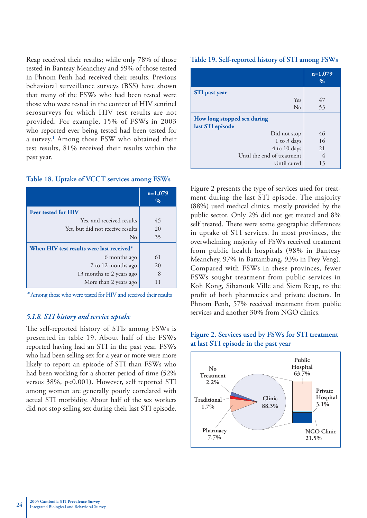Reap received their results; while only 78% of those tested in Banteay Meanchey and 59% of those tested in Phnom Penh had received their results. Previous behavioral surveillance surveys (BSS) have shown that many of the FSWs who had been tested were those who were tested in the context of HIV sentinel serosurveys for which HIV test results are not provided. For example, 15% of FSWs in 2003 who reported ever being tested had been tested for a survey.1 Among those FSW who obtained their test results, 81% received their results within the past year.

#### **Table 18. Uptake of VCCT services among FSWs**

|                                           | $n=1,079$<br>$\%$ |
|-------------------------------------------|-------------------|
| <b>Ever tested for HIV</b>                |                   |
| Yes, and received results                 | 45                |
| Yes, but did not receive results          | 20                |
| No                                        | 35                |
| When HIV test results were last received* |                   |
| 6 months ago                              | 61                |
| 7 to 12 months ago                        | 20                |
| 13 months to 2 years ago                  | 8                 |
| More than 2 years ago                     | 11                |

*\** Among those who were tested for HIV and received their results

#### *5.1.8. STI history and service uptake*

The self-reported history of STIs among FSWs is presented in table 19. About half of the FSWs reported having had an STI in the past year. FSWs who had been selling sex for a year or more were more likely to report an episode of STI than FSWs who had been working for a shorter period of time (52% versus 38%, p<0.001). However, self reported STI among women are generally poorly correlated with actual STI morbidity. About half of the sex workers did not stop selling sex during their last STI episode.

#### **Table 19. Self-reported history of STI among FSWs**

|                                                 | $n=1,079$<br>$\frac{9}{6}$ |
|-------------------------------------------------|----------------------------|
| <b>STI</b> past year                            |                            |
| Yes                                             | 47                         |
| No                                              | 53                         |
| How long stopped sex during<br>last STI episode |                            |
| Did not stop                                    | 46                         |
| 1 to 3 days                                     | 16                         |
| 4 to 10 days                                    | 21                         |
| Until the end of treatment                      | 4                          |
| Until cured                                     | 13                         |

Figure 2 presents the type of services used for treatment during the last STI episode. The majority (88%) used medical clinics, mostly provided by the public sector. Only 2% did not get treated and 8% self treated. There were some geographic differences in uptake of STI services. In most provinces, the overwhelming majority of FSWs received treatment from public health hospitals (98% in Banteay Meanchey, 97% in Battambang, 93% in Prey Veng). Compared with FSWs in these provinces, fewer FSWs sought treatment from public services in Koh Kong, Sihanouk Ville and Siem Reap, to the profit of both pharmacies and private doctors. In Phnom Penh, 57% received treatment from public services and another 30% from NGO clinics.



#### **Figure 2. Services used by FSWs for STI treatment at last STI episode in the past year**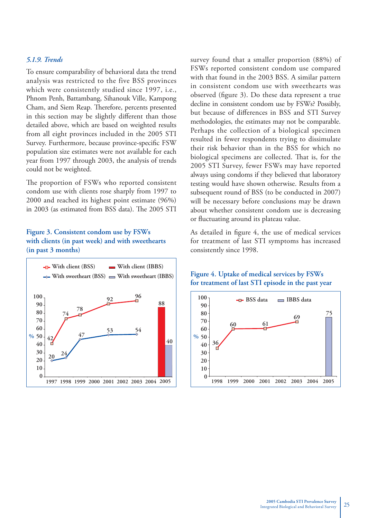#### *5.1.9. Trends*

To ensure comparability of behavioral data the trend analysis was restricted to the five BSS provinces which were consistently studied since 1997, i.e., Phnom Penh, Battambang, Sihanouk Ville, Kampong Cham, and Siem Reap. Therefore, percents presented in this section may be slightly different than those detailed above, which are based on weighted results from all eight provinces included in the 2005 STI Survey. Furthermore, because province-specific FSW population size estimates were not available for each year from 1997 through 2003, the analysis of trends could not be weighted.

The proportion of FSWs who reported consistent condom use with clients rose sharply from 1997 to 2000 and reached its highest point estimate (96%) in 2003 (as estimated from BSS data). The 2005 STI

#### **Figure 3. Consistent condom use by FSWs with clients (in past week) and with sweethearts (in past 3 months)**



survey found that a smaller proportion (88%) of FSWs reported consistent condom use compared with that found in the 2003 BSS. A similar pattern in consistent condom use with sweethearts was observed (figure 3). Do these data represent a true decline in consistent condom use by FSWs? Possibly, but because of differences in BSS and STI Survey methodologies, the estimates may not be comparable. Perhaps the collection of a biological specimen resulted in fewer respondents trying to dissimulate their risk behavior than in the BSS for which no biological specimens are collected. That is, for the 2005 STI Survey, fewer FSWs may have reported always using condoms if they believed that laboratory testing would have shown otherwise. Results from a subsequent round of BSS (to be conducted in 2007) will be necessary before conclusions may be drawn about whether consistent condom use is decreasing or fluctuating around its plateau value.

As detailed in figure 4, the use of medical services for treatment of last STI symptoms has increased consistently since 1998.



#### **Figure 4. Uptake of medical services by FSWs for treatment of last STI episode in the past year**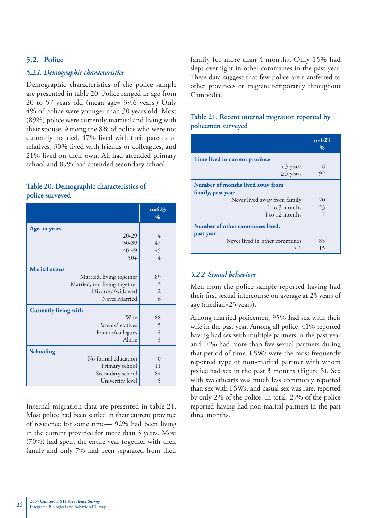#### **5.2. Police**

#### *5.2.1. Demographic characteristics*

Demographic characteristics of the police sample are presented in table 20. Police ranged in age from 20 to 57 years old (mean age= 39.6 years.) Only 4% of police were younger than 30 years old. Most (89%) police were currently married and living with their spouse. Among the 8% of police who were not currently married, 47% lived with their parents or relatives, 30% lived with friends or colleagues, and 21% lived on their own. All had attended primary school and 89% had attended secondary school.

#### **Table 20. Demographic characteristics of police surveyed**

|                              | $n = 623$<br>$\frac{0}{0}$ |
|------------------------------|----------------------------|
| Age, in years                |                            |
| $20-29$                      | 4                          |
| 30-39                        | 47                         |
| 40-49                        | 45                         |
| $50+$                        | $\overline{4}$             |
| <b>Marital status</b>        |                            |
| Married, living together     | 89                         |
| Married, not living together | $\mathfrak{Z}$             |
| Divorced/widowed             | $\mathfrak{2}$             |
| Never Married                | 6                          |
| <b>Currently living with</b> |                            |
| Wife                         | 88                         |
| Parents/relatives            | 5                          |
| Friends/collegues            | $\sqrt{4}$                 |
| Alone                        | 3                          |
| <b>Schooling</b>             |                            |
| No formal education          | $\theta$                   |
| Primary school               | 11                         |
| Secondary school             | 84                         |
| University level             | 5                          |

Internal migration data are presented in table 21. Most police had been settled in their current province of residence for some time— 92% had been living in the current province for more than 3 years. Most (70%) had spent the entire year together with their family and only 7% had been separated from their family for more than 4 months. Only 15% had slept overnight in other communes in the past year. These data suggest that few police are transferred to other provinces or migrate temporarily throughout Cambodia.

#### **Table 21. Recent internal migration reported by policemen surveyed**

|                                  | $n = 623$<br>$\%$ |
|----------------------------------|-------------------|
| Time lived in current province   |                   |
| $<$ 3 years                      | 8                 |
| $\geq$ 3 years                   | 92                |
| Number of months lived away from |                   |
| family, past year                |                   |
| Never lived away from family     | 70                |
| 1 to 3 months                    | 23                |
| 4 to 12 months                   |                   |
| Number of other communes lived,  |                   |
| past year                        |                   |
| Never lived in other communes    | 85                |
| $\geq 1$                         | 15                |

#### *5.2.2. Sexual behaviors*

Men from the police sample reported having had their first sexual intercourse on average at 23 years of age (median=23 years).

Among married policemen, 95% had sex with their wife in the past year. Among all police, 41% reported having had sex with multiple partners in the past year and 10% had more than five sexual partners during that period of time. FSWs were the most frequently reported type of non-marital partner with whom police had sex in the past 3 months (Figure 5). Sex with sweethearts was much less commonly reported than sex with FSWs, and casual sex was rare, reported by only 2% of the police. In total, 29% of the police reported having had non-marital partners in the past three months.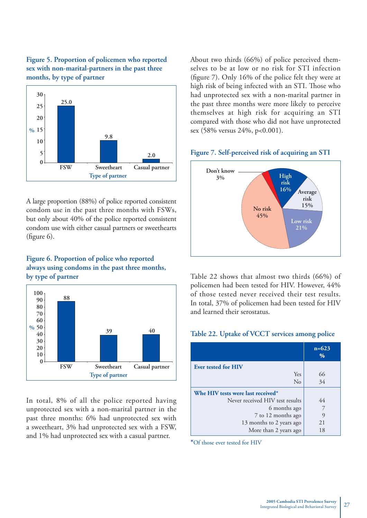



A large proportion (88%) of police reported consistent condom use in the past three months with FSWs, but only about 40% of the police reported consistent condom use with either casual partners or sweethearts (figure  $6$ ).

#### **Figure 6. Proportion of police who reported always using condoms in the past three months, by type of partner**



In total, 8% of all the police reported having unprotected sex with a non-marital partner in the past three months: 6% had unprotected sex with a sweetheart, 3% had unprotected sex with a FSW, and 1% had unprotected sex with a casual partner.

About two thirds (66%) of police perceived themselves to be at low or no risk for STI infection (figure 7). Only 16% of the police felt they were at high risk of being infected with an STI. Those who had unprotected sex with a non-marital partner in the past three months were more likely to perceive themselves at high risk for acquiring an STI compared with those who did not have unprotected sex (58% versus 24%, p<0.001).

#### **Figure 7. Self-perceived risk of acquiring an STI**



Table 22 shows that almost two thirds (66%) of policemen had been tested for HIV. However, 44% of those tested never received their test results. In total, 37% of policemen had been tested for HIV and learned their serostatus.

#### **Table 22. Uptake of VCCT services among police**

|                                   | $n = 623$<br>$\frac{0}{0}$ |
|-----------------------------------|----------------------------|
| <b>Ever tested for HIV</b>        |                            |
| Yes                               | 66                         |
| No                                | 34                         |
| Whe HIV tests were last received* |                            |
| Never received HIV test results   | 44                         |
| 6 months ago                      | 7                          |
| 7 to 12 months ago                | 9                          |
| 13 months to 2 years ago          | 21                         |
| More than 2 years ago             | 18                         |

**\***Of those ever tested for HIV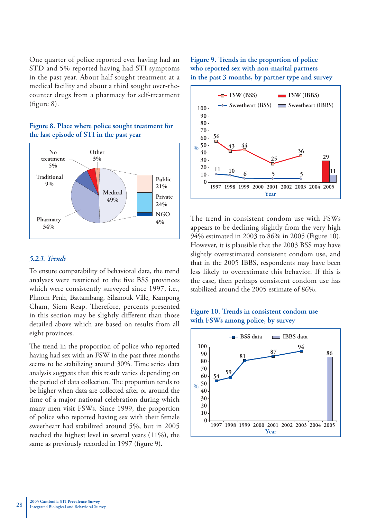One quarter of police reported ever having had an STD and 5% reported having had STI symptoms in the past year. About half sought treatment at a medical facility and about a third sought over-thecounter drugs from a pharmacy for self-treatment  $(figure 8)$ .



#### **Figure 8. Place where police sought treatment for the last episode of STI in the past year**

#### *5.2.3. Trends*

To ensure comparability of behavioral data, the trend analyses were restricted to the five BSS provinces which were consistently surveyed since 1997, i.e., Phnom Penh, Battambang, Sihanouk Ville, Kampong Cham, Siem Reap. Therefore, percents presented in this section may be slightly different than those detailed above which are based on results from all eight provinces.

The trend in the proportion of police who reported having had sex with an FSW in the past three months seems to be stabilizing around 30%. Time series data analysis suggests that this result varies depending on the period of data collection. The proportion tends to be higher when data are collected after or around the time of a major national celebration during which many men visit FSWs. Since 1999, the proportion of police who reported having sex with their female sweetheart had stabilized around 5%, but in 2005 reached the highest level in several years (11%), the same as previously recorded in 1997 (figure 9).

#### **Figure 9. Trends in the proportion of police who reported sex with non-marital partners in the past 3 months, by partner type and survey**



The trend in consistent condom use with FSWs appears to be declining slightly from the very high 94% estimated in 2003 to 86% in 2005 (Figure 10). However, it is plausible that the 2003 BSS may have slightly overestimated consistent condom use, and that in the 2005 IBBS, respondents may have been less likely to overestimate this behavior. If this is the case, then perhaps consistent condom use has stabilized around the 2005 estimate of 86%.



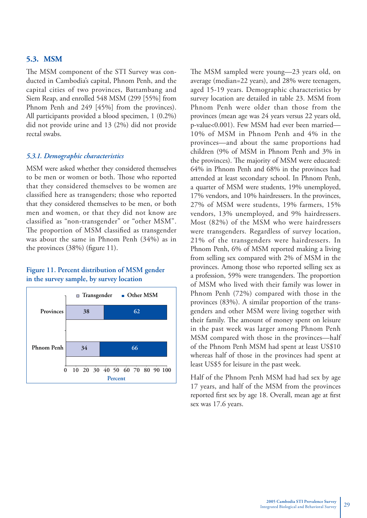#### **5.3. MSM**

The MSM component of the STI Survey was conducted in Cambodia's capital, Phnom Penh, and the capital cities of two provinces, Battambang and Siem Reap, and enrolled 548 MSM (299 [55%] from Phnom Penh and 249 [45%] from the provinces). All participants provided a blood specimen, 1 (0.2%) did not provide urine and 13 (2%) did not provide rectal swabs.

#### *5.3.1. Demographic characteristics*

MSM were asked whether they considered themselves to be men or women or both. Those who reported that they considered themselves to be women are classified here as transgenders; those who reported that they considered themselves to be men, or both men and women, or that they did not know are classified as "non-transgender" or "other MSM". The proportion of MSM classified as transgender was about the same in Phnom Penh (34%) as in the provinces  $(38%)$  (figure 11).

#### **Figure 11. Percent distribution of MSM gender in the survey sample, by survey location**



The MSM sampled were young—23 years old, on average (median=22 years), and 28% were teenagers, aged 15-19 years. Demographic characteristics by survey location are detailed in table 23. MSM from Phnom Penh were older than those from the provinces (mean age was 24 years versus 22 years old, p-value<0.001). Few MSM had ever been married— 10% of MSM in Phnom Penh and 4% in the provinces—and about the same proportions had children (9% of MSM in Phnom Penh and 3% in the provinces). The majority of MSM were educated: 64% in Phnom Penh and 68% in the provinces had attended at least secondary school. In Phnom Penh, a quarter of MSM were students, 19% unemployed, 17% vendors, and 10% hairdressers. In the provinces, 27% of MSM were students, 19% farmers, 15% vendors, 13% unemployed, and 9% hairdressers. Most (82%) of the MSM who were hairdressers were transgenders. Regardless of survey location, 21% of the transgenders were hairdressers. In Phnom Penh, 6% of MSM reported making a living from selling sex compared with 2% of MSM in the provinces. Among those who reported selling sex as a profession, 59% were transgenders. The proportion of MSM who lived with their family was lower in Phnom Penh (72%) compared with those in the provinces (83%). A similar proportion of the transgenders and other MSM were living together with their family. The amount of money spent on leisure in the past week was larger among Phnom Penh MSM compared with those in the provinces—half of the Phnom Penh MSM had spent at least US\$10 whereas half of those in the provinces had spent at least US\$5 for leisure in the past week.

Half of the Phnom Penh MSM had had sex by age 17 years, and half of the MSM from the provinces reported first sex by age 18. Overall, mean age at first sex was 17.6 years.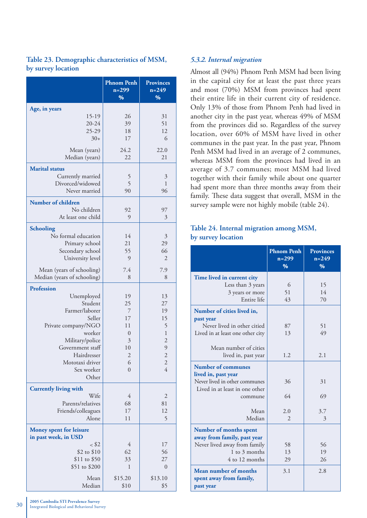| Age, in years<br>15-19<br>26<br>31<br>20-24<br>51<br>39<br>25-29<br>18<br>12<br>$30+$<br>17<br>6<br>24.2<br>Mean (years)<br>22.0<br>Median (years)<br>22<br>21<br><b>Marital</b> status<br>Currently married<br>5<br>$\mathfrak{Z}$<br>5<br>Divorced/widowed<br>1<br>Never married<br>90<br>96<br><b>Number of children</b><br>No children<br>92<br>97<br>At least one child<br>9<br>3<br><b>Schooling</b><br>No formal education<br>14<br>3<br>29<br>Primary school<br>21<br>55<br>66<br>Secondary school<br>University level<br>9<br>$\overline{2}$<br>Mean (years of schooling)<br>7.4<br>7.9<br>Median (years of schooling)<br>8<br>8<br><b>Profession</b><br>Unemployed<br>13<br>19<br>Student<br>25<br>27<br>Farmer/laborer<br>19<br>7<br>Seller<br>17<br>15<br>5<br>Private company/NGO<br>11<br>worker<br>$\mathbbm{1}$<br>$\theta$<br>$\overline{c}$<br>Military/police<br>3<br>Government staff<br>10<br>9<br>Hairdresser<br>$\mathbf{2}$<br>$\overline{\mathbf{c}}$<br>$\overline{c}$<br>6<br>Mototaxi driver<br>$\overline{4}$<br>Sex worker<br>$\overline{0}$<br>Other<br><b>Currently living with</b><br>Wife<br>4<br>$\overline{2}$<br>Parents/relatives<br>68<br>81<br>Friends/colleagues<br>17<br>12<br>Alone<br>5<br>11<br><b>Money spent for leisure</b><br>in past week, in USD<br>$<$ \$2<br>4<br>17<br>\$2 to \$10<br>62<br>56<br>\$11 to \$50<br>33<br>27<br>\$51 to \$200<br>1<br>$\theta$<br>Mean<br>\$15.20<br>\$13.10<br>Median<br>\$5 | <b>Phnom Penh</b><br>$n = 299$<br>% | <b>Provinces</b><br>$n = 249$<br>$\frac{9}{6}$ |
|-------------------------------------------------------------------------------------------------------------------------------------------------------------------------------------------------------------------------------------------------------------------------------------------------------------------------------------------------------------------------------------------------------------------------------------------------------------------------------------------------------------------------------------------------------------------------------------------------------------------------------------------------------------------------------------------------------------------------------------------------------------------------------------------------------------------------------------------------------------------------------------------------------------------------------------------------------------------------------------------------------------------------------------------------------------------------------------------------------------------------------------------------------------------------------------------------------------------------------------------------------------------------------------------------------------------------------------------------------------------------------------------------------------------------------------------------------------------|-------------------------------------|------------------------------------------------|
|                                                                                                                                                                                                                                                                                                                                                                                                                                                                                                                                                                                                                                                                                                                                                                                                                                                                                                                                                                                                                                                                                                                                                                                                                                                                                                                                                                                                                                                                   |                                     |                                                |
|                                                                                                                                                                                                                                                                                                                                                                                                                                                                                                                                                                                                                                                                                                                                                                                                                                                                                                                                                                                                                                                                                                                                                                                                                                                                                                                                                                                                                                                                   |                                     |                                                |
|                                                                                                                                                                                                                                                                                                                                                                                                                                                                                                                                                                                                                                                                                                                                                                                                                                                                                                                                                                                                                                                                                                                                                                                                                                                                                                                                                                                                                                                                   |                                     |                                                |
|                                                                                                                                                                                                                                                                                                                                                                                                                                                                                                                                                                                                                                                                                                                                                                                                                                                                                                                                                                                                                                                                                                                                                                                                                                                                                                                                                                                                                                                                   |                                     |                                                |
|                                                                                                                                                                                                                                                                                                                                                                                                                                                                                                                                                                                                                                                                                                                                                                                                                                                                                                                                                                                                                                                                                                                                                                                                                                                                                                                                                                                                                                                                   |                                     |                                                |
|                                                                                                                                                                                                                                                                                                                                                                                                                                                                                                                                                                                                                                                                                                                                                                                                                                                                                                                                                                                                                                                                                                                                                                                                                                                                                                                                                                                                                                                                   |                                     |                                                |
|                                                                                                                                                                                                                                                                                                                                                                                                                                                                                                                                                                                                                                                                                                                                                                                                                                                                                                                                                                                                                                                                                                                                                                                                                                                                                                                                                                                                                                                                   |                                     |                                                |
|                                                                                                                                                                                                                                                                                                                                                                                                                                                                                                                                                                                                                                                                                                                                                                                                                                                                                                                                                                                                                                                                                                                                                                                                                                                                                                                                                                                                                                                                   |                                     |                                                |
|                                                                                                                                                                                                                                                                                                                                                                                                                                                                                                                                                                                                                                                                                                                                                                                                                                                                                                                                                                                                                                                                                                                                                                                                                                                                                                                                                                                                                                                                   |                                     |                                                |
|                                                                                                                                                                                                                                                                                                                                                                                                                                                                                                                                                                                                                                                                                                                                                                                                                                                                                                                                                                                                                                                                                                                                                                                                                                                                                                                                                                                                                                                                   |                                     |                                                |
|                                                                                                                                                                                                                                                                                                                                                                                                                                                                                                                                                                                                                                                                                                                                                                                                                                                                                                                                                                                                                                                                                                                                                                                                                                                                                                                                                                                                                                                                   |                                     |                                                |
|                                                                                                                                                                                                                                                                                                                                                                                                                                                                                                                                                                                                                                                                                                                                                                                                                                                                                                                                                                                                                                                                                                                                                                                                                                                                                                                                                                                                                                                                   |                                     |                                                |
|                                                                                                                                                                                                                                                                                                                                                                                                                                                                                                                                                                                                                                                                                                                                                                                                                                                                                                                                                                                                                                                                                                                                                                                                                                                                                                                                                                                                                                                                   |                                     |                                                |
|                                                                                                                                                                                                                                                                                                                                                                                                                                                                                                                                                                                                                                                                                                                                                                                                                                                                                                                                                                                                                                                                                                                                                                                                                                                                                                                                                                                                                                                                   |                                     |                                                |
|                                                                                                                                                                                                                                                                                                                                                                                                                                                                                                                                                                                                                                                                                                                                                                                                                                                                                                                                                                                                                                                                                                                                                                                                                                                                                                                                                                                                                                                                   |                                     |                                                |
|                                                                                                                                                                                                                                                                                                                                                                                                                                                                                                                                                                                                                                                                                                                                                                                                                                                                                                                                                                                                                                                                                                                                                                                                                                                                                                                                                                                                                                                                   |                                     |                                                |
|                                                                                                                                                                                                                                                                                                                                                                                                                                                                                                                                                                                                                                                                                                                                                                                                                                                                                                                                                                                                                                                                                                                                                                                                                                                                                                                                                                                                                                                                   |                                     |                                                |
|                                                                                                                                                                                                                                                                                                                                                                                                                                                                                                                                                                                                                                                                                                                                                                                                                                                                                                                                                                                                                                                                                                                                                                                                                                                                                                                                                                                                                                                                   |                                     |                                                |
|                                                                                                                                                                                                                                                                                                                                                                                                                                                                                                                                                                                                                                                                                                                                                                                                                                                                                                                                                                                                                                                                                                                                                                                                                                                                                                                                                                                                                                                                   |                                     |                                                |
|                                                                                                                                                                                                                                                                                                                                                                                                                                                                                                                                                                                                                                                                                                                                                                                                                                                                                                                                                                                                                                                                                                                                                                                                                                                                                                                                                                                                                                                                   |                                     |                                                |
|                                                                                                                                                                                                                                                                                                                                                                                                                                                                                                                                                                                                                                                                                                                                                                                                                                                                                                                                                                                                                                                                                                                                                                                                                                                                                                                                                                                                                                                                   |                                     |                                                |
|                                                                                                                                                                                                                                                                                                                                                                                                                                                                                                                                                                                                                                                                                                                                                                                                                                                                                                                                                                                                                                                                                                                                                                                                                                                                                                                                                                                                                                                                   |                                     |                                                |
|                                                                                                                                                                                                                                                                                                                                                                                                                                                                                                                                                                                                                                                                                                                                                                                                                                                                                                                                                                                                                                                                                                                                                                                                                                                                                                                                                                                                                                                                   |                                     |                                                |
|                                                                                                                                                                                                                                                                                                                                                                                                                                                                                                                                                                                                                                                                                                                                                                                                                                                                                                                                                                                                                                                                                                                                                                                                                                                                                                                                                                                                                                                                   |                                     |                                                |
|                                                                                                                                                                                                                                                                                                                                                                                                                                                                                                                                                                                                                                                                                                                                                                                                                                                                                                                                                                                                                                                                                                                                                                                                                                                                                                                                                                                                                                                                   |                                     |                                                |
|                                                                                                                                                                                                                                                                                                                                                                                                                                                                                                                                                                                                                                                                                                                                                                                                                                                                                                                                                                                                                                                                                                                                                                                                                                                                                                                                                                                                                                                                   |                                     |                                                |
|                                                                                                                                                                                                                                                                                                                                                                                                                                                                                                                                                                                                                                                                                                                                                                                                                                                                                                                                                                                                                                                                                                                                                                                                                                                                                                                                                                                                                                                                   |                                     |                                                |
|                                                                                                                                                                                                                                                                                                                                                                                                                                                                                                                                                                                                                                                                                                                                                                                                                                                                                                                                                                                                                                                                                                                                                                                                                                                                                                                                                                                                                                                                   |                                     |                                                |
|                                                                                                                                                                                                                                                                                                                                                                                                                                                                                                                                                                                                                                                                                                                                                                                                                                                                                                                                                                                                                                                                                                                                                                                                                                                                                                                                                                                                                                                                   |                                     |                                                |
|                                                                                                                                                                                                                                                                                                                                                                                                                                                                                                                                                                                                                                                                                                                                                                                                                                                                                                                                                                                                                                                                                                                                                                                                                                                                                                                                                                                                                                                                   |                                     |                                                |
|                                                                                                                                                                                                                                                                                                                                                                                                                                                                                                                                                                                                                                                                                                                                                                                                                                                                                                                                                                                                                                                                                                                                                                                                                                                                                                                                                                                                                                                                   |                                     |                                                |
|                                                                                                                                                                                                                                                                                                                                                                                                                                                                                                                                                                                                                                                                                                                                                                                                                                                                                                                                                                                                                                                                                                                                                                                                                                                                                                                                                                                                                                                                   |                                     |                                                |
|                                                                                                                                                                                                                                                                                                                                                                                                                                                                                                                                                                                                                                                                                                                                                                                                                                                                                                                                                                                                                                                                                                                                                                                                                                                                                                                                                                                                                                                                   |                                     |                                                |
|                                                                                                                                                                                                                                                                                                                                                                                                                                                                                                                                                                                                                                                                                                                                                                                                                                                                                                                                                                                                                                                                                                                                                                                                                                                                                                                                                                                                                                                                   |                                     |                                                |
|                                                                                                                                                                                                                                                                                                                                                                                                                                                                                                                                                                                                                                                                                                                                                                                                                                                                                                                                                                                                                                                                                                                                                                                                                                                                                                                                                                                                                                                                   |                                     |                                                |
|                                                                                                                                                                                                                                                                                                                                                                                                                                                                                                                                                                                                                                                                                                                                                                                                                                                                                                                                                                                                                                                                                                                                                                                                                                                                                                                                                                                                                                                                   |                                     |                                                |
|                                                                                                                                                                                                                                                                                                                                                                                                                                                                                                                                                                                                                                                                                                                                                                                                                                                                                                                                                                                                                                                                                                                                                                                                                                                                                                                                                                                                                                                                   |                                     |                                                |
|                                                                                                                                                                                                                                                                                                                                                                                                                                                                                                                                                                                                                                                                                                                                                                                                                                                                                                                                                                                                                                                                                                                                                                                                                                                                                                                                                                                                                                                                   |                                     |                                                |
|                                                                                                                                                                                                                                                                                                                                                                                                                                                                                                                                                                                                                                                                                                                                                                                                                                                                                                                                                                                                                                                                                                                                                                                                                                                                                                                                                                                                                                                                   |                                     |                                                |
|                                                                                                                                                                                                                                                                                                                                                                                                                                                                                                                                                                                                                                                                                                                                                                                                                                                                                                                                                                                                                                                                                                                                                                                                                                                                                                                                                                                                                                                                   |                                     |                                                |
|                                                                                                                                                                                                                                                                                                                                                                                                                                                                                                                                                                                                                                                                                                                                                                                                                                                                                                                                                                                                                                                                                                                                                                                                                                                                                                                                                                                                                                                                   |                                     |                                                |
|                                                                                                                                                                                                                                                                                                                                                                                                                                                                                                                                                                                                                                                                                                                                                                                                                                                                                                                                                                                                                                                                                                                                                                                                                                                                                                                                                                                                                                                                   |                                     |                                                |
|                                                                                                                                                                                                                                                                                                                                                                                                                                                                                                                                                                                                                                                                                                                                                                                                                                                                                                                                                                                                                                                                                                                                                                                                                                                                                                                                                                                                                                                                   |                                     |                                                |
|                                                                                                                                                                                                                                                                                                                                                                                                                                                                                                                                                                                                                                                                                                                                                                                                                                                                                                                                                                                                                                                                                                                                                                                                                                                                                                                                                                                                                                                                   |                                     |                                                |
|                                                                                                                                                                                                                                                                                                                                                                                                                                                                                                                                                                                                                                                                                                                                                                                                                                                                                                                                                                                                                                                                                                                                                                                                                                                                                                                                                                                                                                                                   |                                     |                                                |
|                                                                                                                                                                                                                                                                                                                                                                                                                                                                                                                                                                                                                                                                                                                                                                                                                                                                                                                                                                                                                                                                                                                                                                                                                                                                                                                                                                                                                                                                   | \$10                                |                                                |

#### **Table 23. Demographic characteristics of MSM, by survey location**

#### *5.3.2. Internal migration*

Almost all (94%) Phnom Penh MSM had been living in the capital city for at least the past three years and most (70%) MSM from provinces had spent their entire life in their current city of residence. Only 13% of those from Phnom Penh had lived in another city in the past year, whereas 49% of MSM from the provinces did so. Regardless of the survey location, over 60% of MSM have lived in other communes in the past year. In the past year, Phnom Penh MSM had lived in an average of 2 communes, whereas MSM from the provinces had lived in an average of 3.7 communes; most MSM had lived together with their family while about one quarter had spent more than three months away from their family. These data suggest that overall, MSM in the survey sample were not highly mobile (table 24).

#### **Table 24. Internal migration among MSM, by survey location**

|                                                               | <b>Phnom Penh</b><br>$n = 299$<br>$\%$ | <b>Provinces</b><br>$n = 249$<br>$\%$ |
|---------------------------------------------------------------|----------------------------------------|---------------------------------------|
| Time lived in current city                                    |                                        |                                       |
| Less than 3 years                                             | 6                                      | 15                                    |
| 3 years or more                                               | 51                                     | 14                                    |
| Entire life                                                   | 43                                     | 70                                    |
| Number of cities lived in,                                    |                                        |                                       |
| past year                                                     |                                        |                                       |
| Never lived in other citied                                   | 87                                     | 51                                    |
| Lived in at least one other city                              | 13                                     | 49                                    |
| Mean number of cities                                         |                                        |                                       |
| lived in, past year                                           | 1.2                                    | 2.1                                   |
| <b>Number of communes</b>                                     |                                        |                                       |
| lived in, past year                                           |                                        |                                       |
| Never lived in other communes                                 | 36                                     | 31                                    |
| Lived in at least in one other                                |                                        |                                       |
| commune                                                       | 64                                     | 69                                    |
| Mean                                                          | 2.0                                    | 3.7                                   |
| Median                                                        | 2                                      | 3                                     |
| Number of months spent                                        |                                        |                                       |
| away from family, past year                                   |                                        |                                       |
| Never lived away from family                                  | 58                                     | 56                                    |
| 1 to 3 months                                                 | 13                                     | 19                                    |
| 4 to 12 months                                                | 29                                     | 26                                    |
| Mean number of months<br>spent away from family,<br>past year | 3.1                                    | 2.8                                   |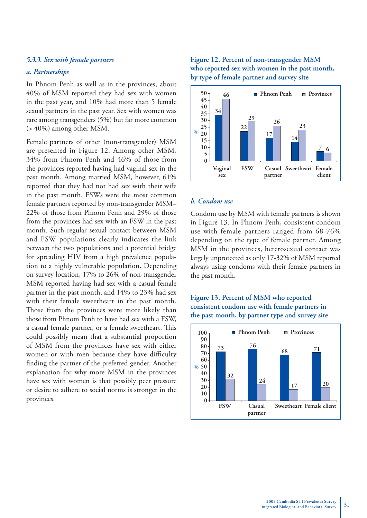#### *5.3.3. Sex with female partners*

#### *a. Partnerships*

In Phnom Penh as well as in the provinces, about 40% of MSM reported they had sex with women in the past year, and 10% had more than 5 female sexual partners in the past year. Sex with women was rare among transgenders (5%) but far more common (> 40%) among other MSM.

Female partners of other (non-transgender) MSM are presented in Figure 12. Among other MSM, 34% from Phnom Penh and 46% of those from the provinces reported having had vaginal sex in the past month. Among married MSM, however, 61% reported that they had not had sex with their wife in the past month. FSWs were the most common female partners reported by non-transgender MSM– 22% of those from Phnom Penh and 29% of those from the provinces had sex with an FSW in the past month. Such regular sexual contact between MSM and FSW populations clearly indicates the link between the two populations and a potential bridge for spreading HIV from a high prevalence population to a highly vulnerable population. Depending on survey location, 17% to 26% of non-transgender MSM reported having had sex with a casual female partner in the past month, and 14% to 23% had sex with their female sweetheart in the past month. Those from the provinces were more likely than those from Phnom Penh to have had sex with a FSW, a casual female partner, or a female sweetheart. This could possibly mean that a substantial proportion of MSM from the provinces have sex with either women or with men because they have difficulty finding the partner of the preferred gender. Another explanation for why more MSM in the provinces have sex with women is that possibly peer pressure or desire to adhere to social norms is stronger in the provinces.

#### **Figure 12. Percent of non-transgender MSM who reported sex with women in the past month, by type of female partner and survey site**



#### *b. Condom use*

Condom use by MSM with female partners is shown in Figure 13. In Phnom Penh, consistent condom use with female partners ranged from 68-76% depending on the type of female partner. Among MSM in the provinces, heterosexual contact was largely unprotected as only 17-32% of MSM reported always using condoms with their female partners in the past month.

#### **Figure 13. Percent of MSM who reported consistent condom use with female partners in the past month, by partner type and survey site**

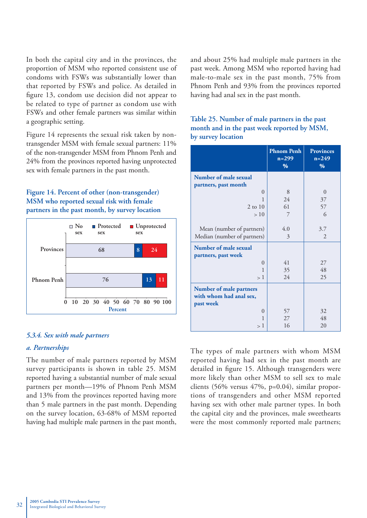In both the capital city and in the provinces, the proportion of MSM who reported consistent use of condoms with FSWs was substantially lower than that reported by FSWs and police. As detailed in figure 13, condom use decision did not appear to be related to type of partner as condom use with FSWs and other female partners was similar within a geographic setting.

Figure 14 represents the sexual risk taken by nontransgender MSM with female sexual partners: 11% of the non-transgender MSM from Phnom Penh and 24% from the provinces reported having unprotected sex with female partners in the past month.

#### **Figure 14. Percent of other (non-transgender) MSM who reported sexual risk with female partners in the past month, by survey location**



#### *5.3.4. Sex with male partners*

#### *a. Partnerships*

The number of male partners reported by MSM survey participants is shown in table 25. MSM reported having a substantial number of male sexual partners per month—19% of Phnom Penh MSM and 13% from the provinces reported having more than 5 male partners in the past month. Depending on the survey location, 63-68% of MSM reported having had multiple male partners in the past month, and about 25% had multiple male partners in the past week. Among MSM who reported having had male-to-male sex in the past month, 75% from Phnom Penh and 93% from the provinces reported having had anal sex in the past month.

| Table 25. Number of male partners in the past |
|-----------------------------------------------|
| month and in the past week reported by MSM,   |
| by survey location                            |

|                                | <b>Phnom Penh</b><br>$n=299$<br>% | <b>Provinces</b><br>$n = 249$<br>% |
|--------------------------------|-----------------------------------|------------------------------------|
| Number of male sexual          |                                   |                                    |
| partners, past month           |                                   |                                    |
| $\theta$                       | 8                                 | $\theta$                           |
| 1                              | 24                                | 37                                 |
| $2$ to $10$                    | 61                                | 57                                 |
| >10                            | 7                                 | 6                                  |
|                                |                                   |                                    |
| Mean (number of partners)      | 4.0                               | 3.7                                |
| Median (number of partners)    | 3                                 | $\overline{2}$                     |
| Number of male sexual          |                                   |                                    |
| partners, past week            |                                   |                                    |
| $\theta$                       | 41                                | 27                                 |
| 1                              | 35                                | 48                                 |
| >1                             | 24                                | 25                                 |
| <b>Number of male partners</b> |                                   |                                    |
| with whom had anal sex,        |                                   |                                    |
| past week                      |                                   |                                    |
| $\theta$                       | 57                                | 32                                 |
| 1                              | 27                                | 48                                 |
| >1                             | 16                                | 20                                 |

The types of male partners with whom MSM reported having had sex in the past month are detailed in figure 15. Although transgenders were more likely than other MSM to sell sex to male clients (56% versus 47%, p=0.04), similar proportions of transgenders and other MSM reported having sex with other male partner types. In both the capital city and the provinces, male sweethearts were the most commonly reported male partners;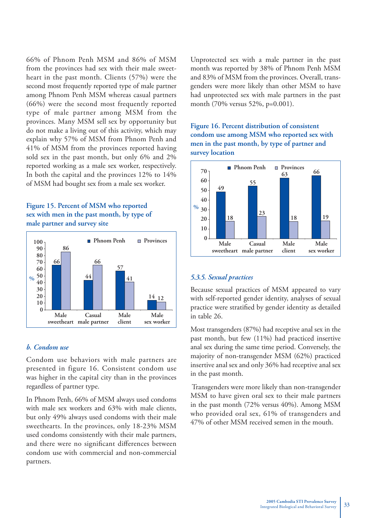66% of Phnom Penh MSM and 86% of MSM from the provinces had sex with their male sweetheart in the past month. Clients (57%) were the second most frequently reported type of male partner among Phnom Penh MSM whereas casual partners (66%) were the second most frequently reported type of male partner among MSM from the provinces. Many MSM sell sex by opportunity but do not make a living out of this activity, which may explain why 57% of MSM from Phnom Penh and 41% of MSM from the provinces reported having sold sex in the past month, but only 6% and 2% reported working as a male sex worker, respectively. In both the capital and the provinces 12% to 14% of MSM had bought sex from a male sex worker.





#### *b. Condom use*

Condom use behaviors with male partners are presented in figure 16. Consistent condom use was higher in the capital city than in the provinces regardless of partner type.

In Phnom Penh, 66% of MSM always used condoms with male sex workers and 63% with male clients, but only 49% always used condoms with their male sweethearts. In the provinces, only 18-23% MSM used condoms consistently with their male partners, and there were no significant differences between condom use with commercial and non-commercial partners.

Unprotected sex with a male partner in the past month was reported by 38% of Phnom Penh MSM and 83% of MSM from the provinces. Overall, transgenders were more likely than other MSM to have had unprotected sex with male partners in the past month (70% versus 52%, p=0.001).

**Figure 16. Percent distribution of consistent condom use among MSM who reported sex with men in the past month, by type of partner and survey location**



#### *5.3.5. Sexual practices*

Because sexual practices of MSM appeared to vary with self-reported gender identity, analyses of sexual practice were stratified by gender identity as detailed in table 26.

Most transgenders (87%) had receptive anal sex in the past month, but few (11%) had practiced insertive anal sex during the same time period. Conversely, the majority of non-transgender MSM (62%) practiced insertive anal sex and only 36% had receptive anal sex in the past month.

 Transgenders were more likely than non-transgender MSM to have given oral sex to their male partners in the past month (72% versus 40%). Among MSM who provided oral sex, 61% of transgenders and 47% of other MSM received semen in the mouth.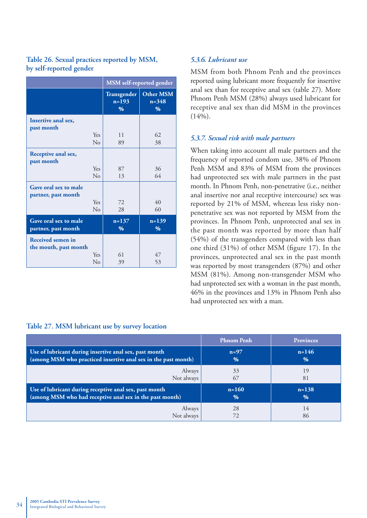#### **Table 26. Sexual practices reported by MSM, by self-reported gender**

|                                              |                | <b>MSM</b> self-reported gender         |                                    |
|----------------------------------------------|----------------|-----------------------------------------|------------------------------------|
|                                              |                | Transgender<br>$n=193$<br>$\frac{0}{0}$ | <b>Other MSM</b><br>$n = 348$<br>% |
| Insertive anal sex,<br>past month            |                |                                         |                                    |
|                                              | Yes            | 11                                      | 62                                 |
|                                              | No             | 89                                      | 38                                 |
| Receptive anal sex,<br>past month            |                |                                         |                                    |
|                                              | Yes            | 87                                      | 36                                 |
|                                              | N <sub>0</sub> | 13                                      | 64                                 |
| Gave oral sex to male<br>partner, past month |                |                                         |                                    |
|                                              | Yes            | 72                                      | 40                                 |
|                                              | No             | 28                                      | 60                                 |
| Gave oral sex to male<br>partner, past month |                | $n = 137$<br>$\%$                       | $n=139$<br>$\%$                    |
| Received semen in<br>the mouth, past month   |                |                                         |                                    |
|                                              | <b>Yes</b>     | 61                                      | 47                                 |
|                                              | $\rm No$       | 39                                      | 53                                 |

#### **Table 27. MSM lubricant use by survey location**

#### *5.3.6. Lubricant use*

MSM from both Phnom Penh and the provinces reported using lubricant more frequently for insertive anal sex than for receptive anal sex (table 27). More Phnom Penh MSM (28%) always used lubricant for receptive anal sex than did MSM in the provinces  $(14%).$ 

#### *5.3.7. Sexual risk with male partners*

When taking into account all male partners and the frequency of reported condom use, 38% of Phnom Penh MSM and 83% of MSM from the provinces had unprotected sex with male partners in the past month. In Phnom Penh, non-penetrative (i.e., neither anal insertive nor anal receptive intercourse) sex was reported by 21% of MSM, whereas less risky nonpenetrative sex was not reported by MSM from the provinces. In Phnom Penh, unprotected anal sex in the past month was reported by more than half (54%) of the transgenders compared with less than one third  $(31\%)$  of other MSM (figure 17). In the provinces, unprotected anal sex in the past month was reported by most transgenders (87%) and other MSM (81%). Among non-transgender MSM who had unprotected sex with a woman in the past month, 46% in the provinces and 13% in Phnom Penh also had unprotected sex with a man.

|                                                                | <b>Phnom Penh</b> | <b>Provinces</b> |  |
|----------------------------------------------------------------|-------------------|------------------|--|
| Use of lubricant during insertive anal sex, past month         | $n=97$            | $n = 146$        |  |
| (among MSM who practiced insertive anal sex in the past month) | $\%$              | $\%$             |  |
| Always                                                         | 33                | 19               |  |
| Not always                                                     | 67                | 81               |  |
| Use of lubricant during receptive anal sex, past month         | $n=160$           | $n = 138$        |  |
| (among MSM who had receptive anal sex in the past month)       | $\%$              | $\%$             |  |
| Always<br>Not always                                           | 28                | 14<br>86         |  |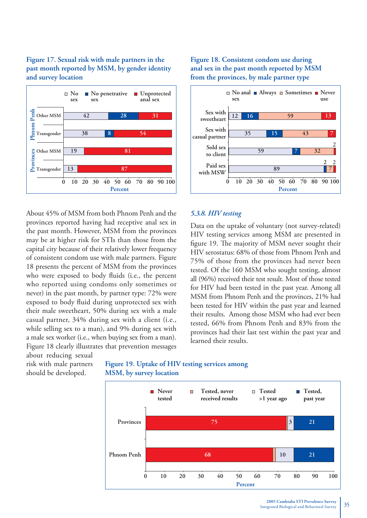#### **Figure 17. Sexual risk with male partners in the past month reported by MSM, by gender identity and survey location**



About 45% of MSM from both Phnom Penh and the provinces reported having had receptive anal sex in the past month. However, MSM from the provinces may be at higher risk for STIs than those from the capital city because of their relatively lower frequency of consistent condom use with male partners. Figure 18 presents the percent of MSM from the provinces who were exposed to body fluids (i.e., the percent who reported using condoms only sometimes or never) in the past month, by partner type: 72% were exposed to body fluid during unprotected sex with their male sweetheart, 50% during sex with a male casual partner, 34% during sex with a client (i.e., while selling sex to a man), and 9% during sex with a male sex worker (i.e., when buying sex from a man). Figure 18 clearly illustrates that prevention messages

**Figure 18. Consistent condom use during anal sex in the past month reported by MSM from the provinces, by male partner type**



#### *5.3.8. HIV testing*

Data on the uptake of voluntary (not survey-related) HIV testing services among MSM are presented in figure 19. The majority of MSM never sought their HIV serostatus: 68% of those from Phnom Penh and 75% of those from the provinces had never been tested. Of the 160 MSM who sought testing, almost all (96%) received their test result. Most of those tested for HIV had been tested in the past year. Among all MSM from Phnom Penh and the provinces, 21% had been tested for HIV within the past year and learned their results. Among those MSM who had ever been tested, 66% from Phnom Penh and 83% from the provinces had their last test within the past year and learned their results.

about reducing sexual risk with male partners should be developed.

**Figure 19. Uptake of HIV testing services among MSM, by survey location**

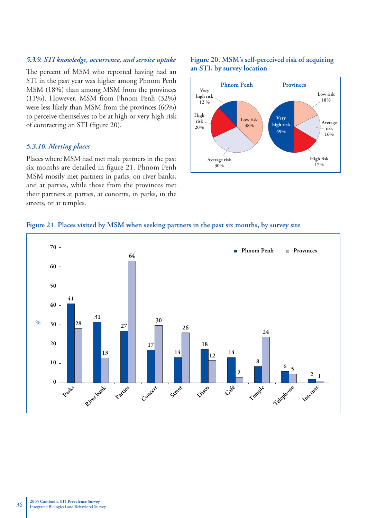#### *5.3.9. STI knowledge, occurrence, and service uptake*

The percent of MSM who reported having had an STI in the past year was higher among Phnom Penh MSM (18%) than among MSM from the provinces (11%). However, MSM from Phnom Penh (32%) were less likely than MSM from the provinces (66%) to perceive themselves to be at high or very high risk of contracting an STI (figure 20).

#### *5.3.10. Meeting places*

Places where MSM had met male partners in the past six months are detailed in figure 21. Phnom Penh MSM mostly met partners in parks, on river banks, and at parties, while those from the provinces met their partners at parties, at concerts, in parks, in the streets, or at temples.

#### **Figure 20. MSM's self-perceived risk of acquiring an STI, by survey location**



#### **Figure 21. Places visited by MSM when seeking partners in the past six months, by survey site**

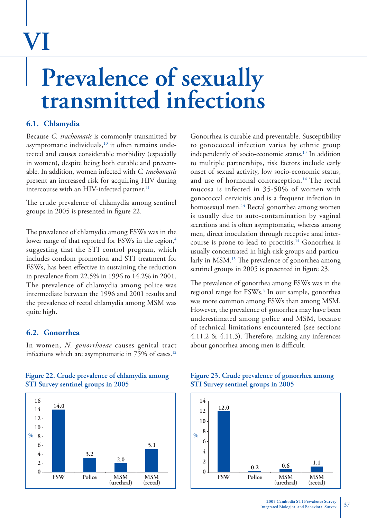# **VI**

### **Prevalence of sexually transmitted infections**

#### **6.1. Chlamydia**

Because *C. trachomatis* is commonly transmitted by asymptomatic individuals,<sup>10</sup> it often remains undetected and causes considerable morbidity (especially in women), despite being both curable and preventable. In addition, women infected with *C. trachomatis* present an increased risk for acquiring HIV during intercourse with an HIV-infected partner.<sup>11</sup>

The crude prevalence of chlamydia among sentinel groups in 2005 is presented in figure 22.

The prevalence of chlamydia among FSWs was in the lower range of that reported for FSWs in the region,<sup>4</sup> suggesting that the STI control program, which includes condom promotion and STI treatment for FSWs, has been effective in sustaining the reduction in prevalence from 22.5% in 1996 to 14.2% in 2001. The prevalence of chlamydia among police was intermediate between the 1996 and 2001 results and the prevalence of rectal chlamydia among MSM was quite high.

#### **6.2. Gonorrhea**

In women, *N. gonorrhoeae* causes genital tract infections which are asymptomatic in 75% of cases.<sup>12</sup>



#### **Figure 22. Crude prevalence of chlamydia among STI Survey sentinel groups in 2005**

Gonorrhea is curable and preventable. Susceptibility to gonococcal infection varies by ethnic group independently of socio-economic status.13 In addition to multiple partnerships, risk factors include early onset of sexual activity, low socio-economic status, and use of hormonal contraception.<sup>14</sup> The rectal mucosa is infected in 35-50% of women with gonococcal cervicitis and is a frequent infection in homosexual men.<sup>14</sup> Rectal gonorrhea among women is usually due to auto-contamination by vaginal secretions and is often asymptomatic, whereas among men, direct inoculation through receptive anal intercourse is prone to lead to proctitis.14 Gonorrhea is usually concentrated in high-risk groups and particularly in MSM.<sup>15</sup> The prevalence of gonorrhea among sentinel groups in 2005 is presented in figure 23.

The prevalence of gonorrhea among FSWs was in the regional range for FSWs.<sup>4</sup> In our sample, gonorrhea was more common among FSWs than among MSM. However, the prevalence of gonorrhea may have been underestimated among police and MSM, because of technical limitations encountered (see sections 4.11.2  $\&$  4.11.3). Therefore, making any inferences about gonorrhea among men is difficult.

#### **Figure 23. Crude prevalence of gonorrhea among STI Survey sentinel groups in 2005**

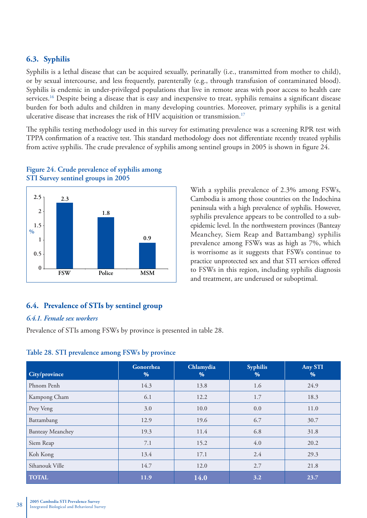#### **6.3. Syphilis**

Syphilis is a lethal disease that can be acquired sexually, perinatally (i.e., transmitted from mother to child), or by sexual intercourse, and less frequently, parenterally (e.g., through transfusion of contaminated blood). Syphilis is endemic in under-privileged populations that live in remote areas with poor access to health care services.<sup>16</sup> Despite being a disease that is easy and inexpensive to treat, syphilis remains a significant disease burden for both adults and children in many developing countries. Moreover, primary syphilis is a genital ulcerative disease that increases the risk of HIV acquisition or transmission.<sup>17</sup>

The syphilis testing methodology used in this survey for estimating prevalence was a screening RPR test with TPPA confirmation of a reactive test. This standard methodology does not differentiate recently treated syphilis from active syphilis. The crude prevalence of syphilis among sentinel groups in 2005 is shown in figure 24.



#### **Figure 24. Crude prevalence of syphilis among STI Survey sentinel groups in 2005**

#### **6.4. Prevalence of STIs by sentinel group**

#### *6.4.1. Female sex workers*

Prevalence of STIs among FSWs by province is presented in table 28.

#### **Table 28. STI prevalence among FSWs by province**

| City/province           | Gonorrhea<br>% | Chlamydia<br>$\%$ | <b>Syphilis</b><br>$\%$ | Any STI<br>% |  |
|-------------------------|----------------|-------------------|-------------------------|--------------|--|
| Phnom Penh              | 14.3           | 13.8              | 1.6                     | 24.9         |  |
| Kampong Cham            | 6.1            | 12.2              | 1.7                     | 18.3         |  |
| Prey Veng               | 3.0            | 10.0              | 0.0                     | 11.0         |  |
| Battambang              | 12.9           | 19.6              | 6.7                     | 30.7         |  |
| <b>Banteay Meanchey</b> | 19.3           | 11.4              | 6.8                     | 31.8         |  |
| Siem Reap               | 7.1            | 15.2              | 4.0                     | 20.2         |  |
| Koh Kong                | 13.4           | 17.1              | 2.4                     | 29.3         |  |
| Sihanouk Ville          | 14.7           | 12.0              | 2.7                     | 21.8         |  |
| <b>TOTAL</b>            | 11.9           | 14.0              | 3.2                     | 23.7         |  |

With a syphilis prevalence of 2.3% among FSWs, Cambodia is among those countries on the Indochina peninsula with a high prevalence of syphilis. However, syphilis prevalence appears to be controlled to a subepidemic level. In the northwestern provinces (Banteay Meanchey, Siem Reap and Battambang) syphilis prevalence among FSWs was as high as 7%, which is worrisome as it suggests that FSWs continue to practice unprotected sex and that STI services offered to FSWs in this region, including syphilis diagnosis and treatment, are underused or suboptimal.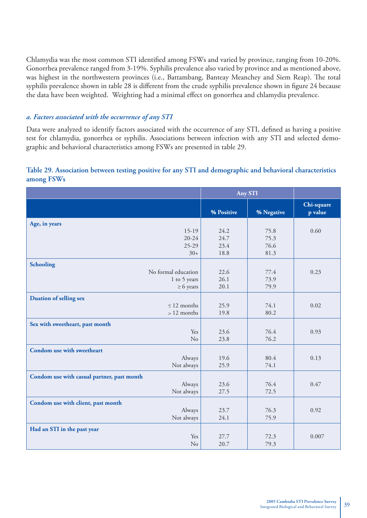Chlamydia was the most common STI identified among FSWs and varied by province, ranging from 10-20%. Gonorrhea prevalence ranged from 3-19%. Syphilis prevalence also varied by province and as mentioned above, was highest in the northwestern provinces (i.e., Battambang, Banteay Meanchey and Siem Reap). The total syphilis prevalence shown in table 28 is different from the crude syphilis prevalence shown in figure 24 because the data have been weighted. Weighting had a minimal effect on gonorrhea and chlamydia prevalence.

#### *a. Factors associated with the occurrence of any STI*

Data were analyzed to identify factors associated with the occurrence of any STI, defined as having a positive test for chlamydia, gonorrhea or syphilis. Associations between infection with any STI and selected demographic and behavioral characteristics among FSWs are presented in table 29.

#### **Table 29. Association between testing positive for any STI and demographic and behavioral characteristics among FSWs**

|                                            | <b>Any STI</b> |            |                       |
|--------------------------------------------|----------------|------------|-----------------------|
|                                            | % Positive     | % Negative | Chi-square<br>p value |
| Age, in years                              |                |            |                       |
| $15-19$                                    | 24.2           | 75.8       | 0.60                  |
| $20 - 24$                                  | 24.7           | 75.3       |                       |
| $25-29$                                    | 23.4           | 76.6       |                       |
| $30+$                                      | 18.8           | 81.3       |                       |
| <b>Schooling</b>                           |                |            |                       |
| No formal education                        | 22.6           | 77.4       | 0.23                  |
| 1 to 5 years                               | 26.1           | 73.9       |                       |
| $\geq 6$ years                             | 20.1           | 79.9       |                       |
| <b>Duation of selling sex</b>              |                |            |                       |
| $\leq$ 12 months                           | 25.9           | 74.1       | 0.02                  |
| $>12$ months                               | 19.8           | 80.2       |                       |
| Sex with sweetheart, past month            |                |            |                       |
| Yes                                        | 23.6           | 76.4       | 0.93                  |
| No                                         | 23.8           | 76.2       |                       |
| Condom use with sweetheart                 |                |            |                       |
| Always                                     | 19.6           | 80.4       | 0.13                  |
| Not always                                 | 25.9           | 74.1       |                       |
| Condom use with casual partner, past month |                |            |                       |
| Always                                     | 23.6           | 76.4       | 0.47                  |
| Not always                                 | 27.5           | 72.5       |                       |
| Condom use with client, past month         |                |            |                       |
| Always                                     | 23.7           | 76.3       | 0.92                  |
| Not always                                 | 24.1           | 75.9       |                       |
| Had an STI in the past year                |                |            |                       |
| Yes                                        | 27.7           | 72.3       | 0.007                 |
| No                                         | 20.7           | 79.3       |                       |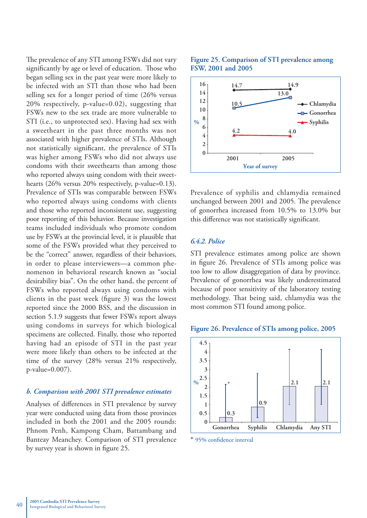The prevalence of any STI among FSWs did not vary significantly by age or level of education. Those who began selling sex in the past year were more likely to be infected with an STI than those who had been selling sex for a longer period of time (26% versus 20% respectively, p-value=0.02), suggesting that FSWs new to the sex trade are more vulnerable to STI (i.e., to unprotected sex). Having had sex with a sweetheart in the past three months was not associated with higher prevalence of STIs. Although not statistically significant, the prevalence of STIs was higher among FSWs who did not always use condoms with their sweethearts than among those who reported always using condom with their sweethearts (26% versus 20% respectively, p-value=0.13). Prevalence of STIs was comparable between FSWs who reported always using condoms with clients and those who reported inconsistent use, suggesting poor reporting of this behavior. Because investigation teams included individuals who promote condom use by FSWs at the provincial level, it is plausible that some of the FSWs provided what they perceived to be the "correct" answer, regardless of their behaviors, in order to please interviewers—a common phenomenon in behavioral research known as "social desirability bias". On the other hand, the percent of FSWs who reported always using condoms with clients in the past week (figure  $3$ ) was the lowest reported since the 2000 BSS, and the discussion in section 5.1.9 suggests that fewer FSWs report always using condoms in surveys for which biological specimens are collected. Finally, those who reported having had an episode of STI in the past year were more likely than others to be infected at the time of the survey (28% versus 21% respectively, p-value=0.007).

#### *b. Comparison with 2001 STI prevalence estimates*

Analyses of differences in STI prevalence by survey year were conducted using data from those provinces included in both the 2001 and the 2005 rounds: Phnom Penh, Kampong Cham, Battambang and Banteay Meanchey. Comparison of STI prevalence by survey year is shown in figure 25.

#### **Figure 25. Comparison of STI prevalence among FSW, 2001 and 2005**



Prevalence of syphilis and chlamydia remained unchanged between 2001 and 2005. The prevalence of gonorrhea increased from 10.5% to 13.0% but this difference was not statistically significant.

#### *6.4.2. Police*

STI prevalence estimates among police are shown in figure 26. Prevalence of STIs among police was too low to allow disaggregation of data by province. Prevalence of gonorrhea was likely underestimated because of poor sensitivity of the laboratory testing methodology. That being said, chlamydia was the most common STI found among police.

#### **Figure 26. Prevalence of STIs among police, 2005**



 $*$  95% confidence interval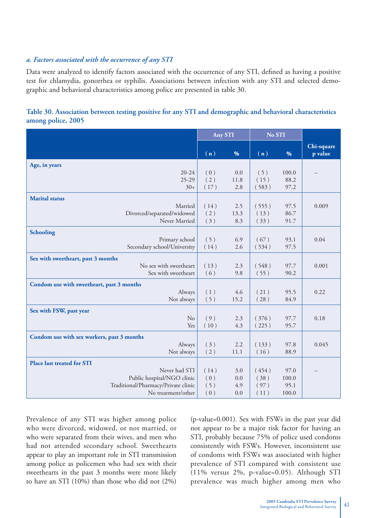#### *a. Factors associated with the occurrence of any STI*

Data were analyzed to identify factors associated with the occurrence of any STI, defined as having a positive test for chlamydia, gonorrhea or syphilis. Associations between infection with any STI and selected demographic and behavioral characteristics among police are presented in table 30.

|                                                     | <b>Any STI</b> |         | No STI |       |            |
|-----------------------------------------------------|----------------|---------|--------|-------|------------|
|                                                     |                |         |        |       | Chi-square |
|                                                     | (n)            | %       | (n)    | %     | p value    |
| Age, in years                                       |                |         |        |       |            |
| $20 - 24$                                           | (0)            | 0.0     | (5)    | 100.0 |            |
| $25-29$                                             | (2)            | 11.8    | (15)   | 88.2  |            |
| $30+$                                               | (17)           | 2.8     | (583)  | 97.2  |            |
| <b>Marital</b> status                               |                |         |        |       |            |
| Married                                             | (14)           | 2.5     | (555)  | 97.5  | 0.009      |
| Divorced/separated/widowed                          | (2)            | 13.3    | (13)   | 86.7  |            |
| Never Married                                       | (3)            | 8.3     | (33)   | 91.7  |            |
| Schooling                                           |                |         |        |       |            |
| Primary school                                      | (5)            | 6.9     | (67)   | 93.1  | 0.04       |
| Secondary school/University                         | (14)           | 2.6     | (534)  | 97.5  |            |
| Sex with sweetheart, past 3 months                  |                |         |        |       |            |
| No sex with sweetheart                              | (13)           | 2.3     | (548)  | 97.7  | 0.001      |
| Sex with sweetheart                                 | (6)            | 9.8     | (55)   | 90.2  |            |
|                                                     |                |         |        |       |            |
| Condom use with sweetheart, past 3 months<br>Always | (1)            | 4.6     | (21)   | 95.5  | 0.22       |
| Not always                                          | (5)            | 15.2    | (28)   | 84.9  |            |
|                                                     |                |         |        |       |            |
| Sex with FSW, past year                             |                |         |        |       |            |
| N <sub>o</sub>                                      | (9)            | 2.3     | (376)  | 97.7  | 0.18       |
| Yes                                                 | (10)           | 4.3     | (225)  | 95.7  |            |
| Condom use with sex workers, past 3 months          |                |         |        |       |            |
| Always                                              | (3)            | 2.2     | (133)  | 97.8  | 0.045      |
| Not always                                          | (2)            | 11.1    | (16)   | 88.9  |            |
| <b>Place last treated for STI</b>                   |                |         |        |       |            |
| Never had STI                                       | (14)           | 3.0     | (454)  | 97.0  |            |
| Public hospital/NGO clinic                          | (0)            | $0.0\,$ | (38)   | 100.0 |            |
| Traditional/Pharmacy/Private clinic                 | (5)            | 4.9     | (97)   | 95.1  |            |
| No treatment/other                                  | (0)            | $0.0\,$ | (11)   | 100.0 |            |

#### **Table 30. Association between testing positive for any STI and demographic and behavioral characteristics among police, 2005**

Prevalence of any STI was higher among police who were divorced, widowed, or not married, or who were separated from their wives, and men who had not attended secondary school. Sweethearts appear to play an important role in STI transmission among police as policemen who had sex with their sweethearts in the past 3 months were more likely to have an STI (10%) than those who did not (2%)

(p-value=0.001). Sex with FSWs in the past year did not appear to be a major risk factor for having an STI, probably because 75% of police used condoms consistently with FSWs. However, inconsistent use of condoms with FSWs was associated with higher prevalence of STI compared with consistent use (11% versus 2%, p-value=0.05). Although STI prevalence was much higher among men who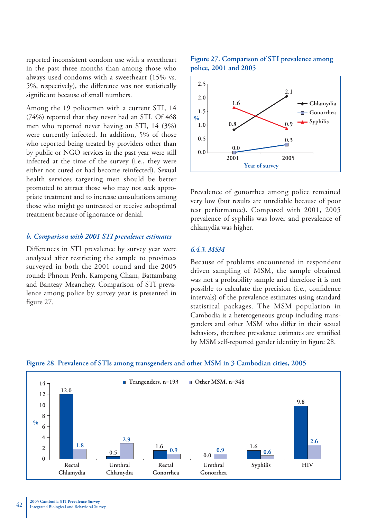reported inconsistent condom use with a sweetheart in the past three months than among those who always used condoms with a sweetheart (15% vs. 5%, respectively), the difference was not statistically significant because of small numbers.

Among the 19 policemen with a current STI, 14 (74%) reported that they never had an STI. Of 468 men who reported never having an STI, 14 (3%) were currently infected. In addition, 5% of those who reported being treated by providers other than by public or NGO services in the past year were still infected at the time of the survey (i.e., they were either not cured or had become reinfected). Sexual health services targeting men should be better promoted to attract those who may not seek appropriate treatment and to increase consultations among those who might go untreated or receive suboptimal treatment because of ignorance or denial.

#### *b. Comparison with 2001 STI prevalence estimates*

Differences in STI prevalence by survey year were analyzed after restricting the sample to provinces surveyed in both the 2001 round and the 2005 round: Phnom Penh, Kampong Cham, Battambang and Banteay Meanchey. Comparison of STI prevalence among police by survey year is presented in figure 27.

#### **Figure 27. Comparison of STI prevalence among police, 2001 and 2005**



Prevalence of gonorrhea among police remained very low (but results are unreliable because of poor test performance). Compared with 2001, 2005 prevalence of syphilis was lower and prevalence of chlamydia was higher.

#### *6.4.3. MSM*

Because of problems encountered in respondent driven sampling of MSM, the sample obtained was not a probability sample and therefore it is not possible to calculate the precision (i.e., confidence intervals) of the prevalence estimates using standard statistical packages. The MSM population in Cambodia is a heterogeneous group including transgenders and other MSM who differ in their sexual behaviors, therefore prevalence estimates are stratified by MSM self-reported gender identity in figure 28.



**Figure 28. Prevalence of STIs among transgenders and other MSM in 3 Cambodian cities, 2005**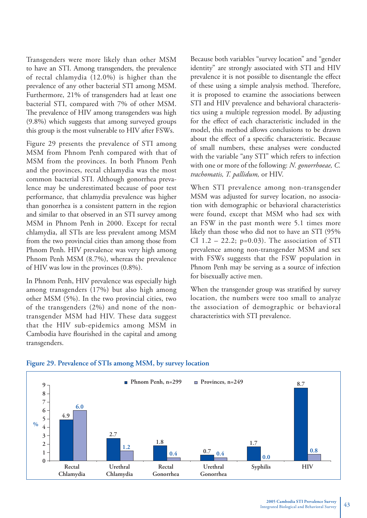Transgenders were more likely than other MSM to have an STI. Among transgenders, the prevalence of rectal chlamydia (12.0%) is higher than the prevalence of any other bacterial STI among MSM. Furthermore, 21% of transgenders had at least one bacterial STI, compared with 7% of other MSM. The prevalence of HIV among transgenders was high (9.8%) which suggests that among surveyed groups this group is the most vulnerable to HIV after FSWs.

Figure 29 presents the prevalence of STI among MSM from Phnom Penh compared with that of MSM from the provinces. In both Phnom Penh and the provinces, rectal chlamydia was the most common bacterial STI. Although gonorrhea prevalence may be underestimated because of poor test performance, that chlamydia prevalence was higher than gonorrhea is a consistent pattern in the region and similar to that observed in an STI survey among MSM in Phnom Penh in 2000. Except for rectal chlamydia, all STIs are less prevalent among MSM from the two provincial cities than among those from Phnom Penh. HIV prevalence was very high among Phnom Penh MSM (8.7%), whereas the prevalence of HIV was low in the provinces (0.8%).

In Phnom Penh, HIV prevalence was especially high among transgenders (17%) but also high among other MSM (5%). In the two provincial cities, two of the transgenders (2%) and none of the nontransgender MSM had HIV. These data suggest that the HIV sub-epidemics among MSM in Cambodia have flourished in the capital and among transgenders.

Because both variables "survey location" and "gender identity" are strongly associated with STI and HIV prevalence it is not possible to disentangle the effect of these using a simple analysis method. Therefore, it is proposed to examine the associations between STI and HIV prevalence and behavioral characteristics using a multiple regression model. By adjusting for the effect of each characteristic included in the model, this method allows conclusions to be drawn about the effect of a specific characteristic. Because of small numbers, these analyses were conducted with the variable "any STI" which refers to infection with one or more of the following: *N. gonorrhoeae, C. trachomatis, T. pallidum,* or HIV.

When STI prevalence among non-transgender MSM was adjusted for survey location, no association with demographic or behavioral characteristics were found, except that MSM who had sex with an FSW in the past month were 5.1 times more likely than those who did not to have an STI (95% CI  $1.2 - 22.2$ ; p=0.03). The association of STI prevalence among non-transgender MSM and sex with FSWs suggests that the FSW population in Phnom Penh may be serving as a source of infection for bisexually active men.

When the transgender group was stratified by survey location, the numbers were too small to analyze the association of demographic or behavioral characteristics with STI prevalence.



#### **Figure 29. Prevalence of STIs among MSM, by survey location**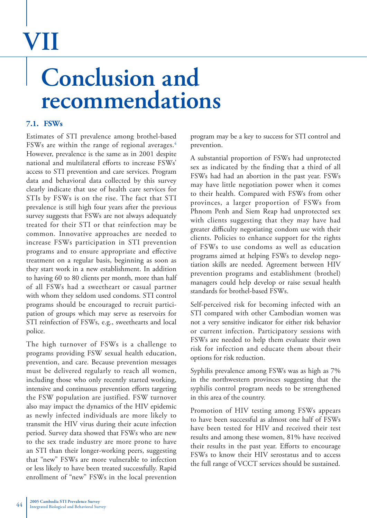# **VII**

### **Conclusion and recommendations**

#### **7.1. FSWs**

Estimates of STI prevalence among brothel-based FSWs are within the range of regional averages.<sup>4</sup> However, prevalence is the same as in 2001 despite national and multilateral efforts to increase FSWs' access to STI prevention and care services. Program data and behavioral data collected by this survey clearly indicate that use of health care services for STIs by FSWs is on the rise. The fact that STI prevalence is still high four years after the previous survey suggests that FSWs are not always adequately treated for their STI or that reinfection may be common. Innovative approaches are needed to increase FSWs participation in STI prevention programs and to ensure appropriate and effective treatment on a regular basis, beginning as soon as they start work in a new establishment. In addition to having 60 to 80 clients per month, more than half of all FSWs had a sweetheart or casual partner with whom they seldom used condoms. STI control programs should be encouraged to recruit participation of groups which may serve as reservoirs for STI reinfection of FSWs, e.g., sweethearts and local police.

The high turnover of FSWs is a challenge to programs providing FSW sexual health education, prevention, and care. Because prevention messages must be delivered regularly to reach all women, including those who only recently started working, intensive and continuous prevention efforts targeting the FSW population are justified. FSW turnover also may impact the dynamics of the HIV epidemic as newly infected individuals are more likely to transmit the HIV virus during their acute infection period. Survey data showed that FSWs who are new to the sex trade industry are more prone to have an STI than their longer-working peers, suggesting that "new" FSWs are more vulnerable to infection or less likely to have been treated successfully. Rapid enrollment of "new" FSWs in the local prevention

program may be a key to success for STI control and prevention.

A substantial proportion of FSWs had unprotected sex as indicated by the finding that a third of all FSWs had had an abortion in the past year. FSWs may have little negotiation power when it comes to their health. Compared with FSWs from other provinces, a larger proportion of FSWs from Phnom Penh and Siem Reap had unprotected sex with clients suggesting that they may have had greater difficulty negotiating condom use with their clients. Policies to enhance support for the rights of FSWs to use condoms as well as education programs aimed at helping FSWs to develop negotiation skills are needed. Agreement between HIV prevention programs and establishment (brothel) managers could help develop or raise sexual health standards for brothel-based FSWs.

Self-perceived risk for becoming infected with an STI compared with other Cambodian women was not a very sensitive indicator for either risk behavior or current infection. Participatory sessions with FSWs are needed to help them evaluate their own risk for infection and educate them about their options for risk reduction.

Syphilis prevalence among FSWs was as high as 7% in the northwestern provinces suggesting that the syphilis control program needs to be strengthened in this area of the country.

Promotion of HIV testing among FSWs appears to have been successful as almost one half of FSWs have been tested for HIV and received their test results and among these women, 81% have received their results in the past year. Efforts to encourage FSWs to know their HIV serostatus and to access the full range of VCCT services should be sustained.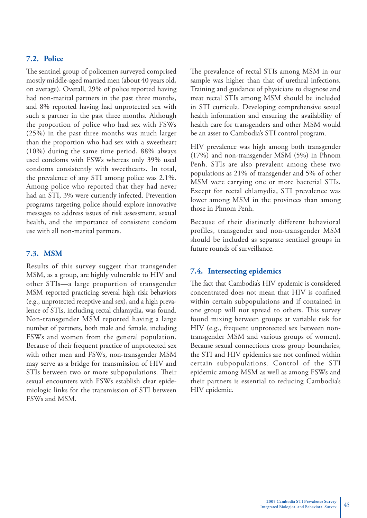#### **7.2. Police**

The sentinel group of policemen surveyed comprised mostly middle-aged married men (about 40 years old, on average). Overall, 29% of police reported having had non-marital partners in the past three months, and 8% reported having had unprotected sex with such a partner in the past three months. Although the proportion of police who had sex with FSWs (25%) in the past three months was much larger than the proportion who had sex with a sweetheart (10%) during the same time period, 88% always used condoms with FSWs whereas only 39% used condoms consistently with sweethearts. In total, the prevalence of any STI among police was 2.1%. Among police who reported that they had never had an STI, 3% were currently infected. Prevention programs targeting police should explore innovative messages to address issues of risk assessment, sexual health, and the importance of consistent condom use with all non-marital partners.

#### **7.3. MSM**

Results of this survey suggest that transgender MSM, as a group, are highly vulnerable to HIV and other STIs—a large proportion of transgender MSM reported practicing several high risk behaviors (e.g., unprotected receptive anal sex), and a high prevalence of STIs, including rectal chlamydia, was found. Non-transgender MSM reported having a large number of partners, both male and female, including FSWs and women from the general population. Because of their frequent practice of unprotected sex with other men and FSWs, non-transgender MSM may serve as a bridge for transmission of HIV and STIs between two or more subpopulations. Their sexual encounters with FSWs establish clear epidemiologic links for the transmission of STI between FSWs and MSM.

The prevalence of rectal STIs among MSM in our sample was higher than that of urethral infections. Training and guidance of physicians to diagnose and treat rectal STIs among MSM should be included in STI curricula. Developing comprehensive sexual health information and ensuring the availability of health care for transgenders and other MSM would be an asset to Cambodia's STI control program.

HIV prevalence was high among both transgender (17%) and non-transgender MSM (5%) in Phnom Penh. STIs are also prevalent among these two populations as 21% of transgender and 5% of other MSM were carrying one or more bacterial STIs. Except for rectal chlamydia, STI prevalence was lower among MSM in the provinces than among those in Phnom Penh.

Because of their distinctly different behavioral profiles, transgender and non-transgender MSM should be included as separate sentinel groups in future rounds of surveillance.

#### **7.4. Intersecting epidemics**

The fact that Cambodia's HIV epidemic is considered concentrated does not mean that HIV is confined within certain subpopulations and if contained in one group will not spread to others. This survey found mixing between groups at variable risk for HIV (e.g., frequent unprotected sex between nontransgender MSM and various groups of women). Because sexual connections cross group boundaries, the STI and HIV epidemics are not confined within certain subpopulations. Control of the STI epidemic among MSM as well as among FSWs and their partners is essential to reducing Cambodia's HIV epidemic.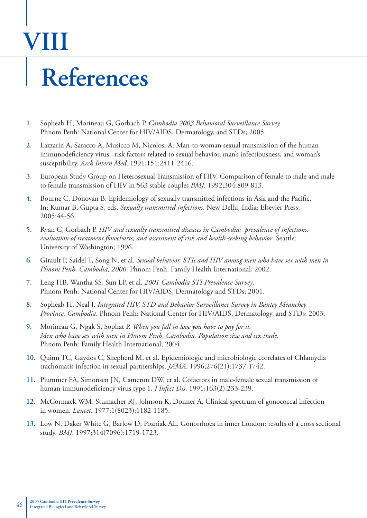# **VIII**

### **References**

- **1.** Sopheab H, Morineau G, Gorbach P. *Cambodia 2003 Behavioral Surveillance Survey.* Phnom Penh: National Center for HIV/AIDS, Dermatology, and STDs; 2005.
- **2.** Lazzarin A, Saracco A, Musicco M, Nicolosi A. Man-to-woman sexual transmission of the human immunodeficiency virus: risk factors related to sexual behavior, man's infectiousness, and woman's susceptibility. *Arch Intern Med*. 1991;151:2411-2416.
- **3.** European Study Group on Heterosexual Transmission of HIV. Comparison of female to male and male to female transmission of HIV in 563 stable couples *BMJ*. 1992;304:809-813.
- 4. Bourne C, Donovan B. Epidemiology of sexually transmitted infections in Asia and the Pacific. In: Kumar B, Gupta S, eds. *Sexually transmitted infections*. New Delhi, India: Elsevier Press; 2005:44-56.
- **5.** Ryan C, Gorbach P. *HIV and sexually transmitted diseases in Cambodia: prevalence of infections,*  evaluation of treatment flowcharts, and assessment of risk and health-seeking behavior. Seattle: University of Washington; 1996.
- **6.** Girault P, Saidel T, Song N, et al. *Sexual behavior, STIs and HIV among men who have sex with men in Phnom Penh, Cambodia, 2000*. Phnom Penh: Family Health International; 2002.
- **7.** Leng HB, Wantha SS, Sun LP, et al. *2001 Cambodia STI Prevalence Survey*. Phnom Penh: National Center for HIV/AIDS, Dermatology and STDs; 2001.
- **8.** Sopheab H, Neal J. *Integrated HIV, STD and Behavior Surveillance Survey in Bantey Meanchey Province, Cambodia*. Phnom Penh: National Center for HIV/AIDS, Dermatology, and STDs; 2003.
- **9.** Morineau G, Ngak S, Sophat P. *When you fall in love you have to pay for it. Men who have sex with men in Phnom Penh, Cambodia. Population size and sex trade*. Phnom Penh: Family Health International; 2004.
- **10.** Quinn TC, Gaydos C, Shepherd M, et al. Epidemiologic and microbiologic correlates of Chlamydia trachomatis infection in sexual partnerships. *JAMA*. 1996;276(21):1737-1742.
- **11.** Plummer FA, Simonsen JN, Cameron DW, et al. Cofactors in male-female sexual transmission of human immunodeficiency virus type 1. *J Infect Dis*. 1991;163(2):233-239.
- **12.** McCormack WM, Stumacher RJ, Johnson K, Donner A. Clinical spectrum of gonococcal infection in women. *Lancet*. 1977;1(8023):1182-1185.
- **13.** Low N, Daker White G, Barlow D, Pozniak AL. Gonorrhoea in inner London: results of a cross sectional study. *BMJ*. 1997;314(7096):1719-1723.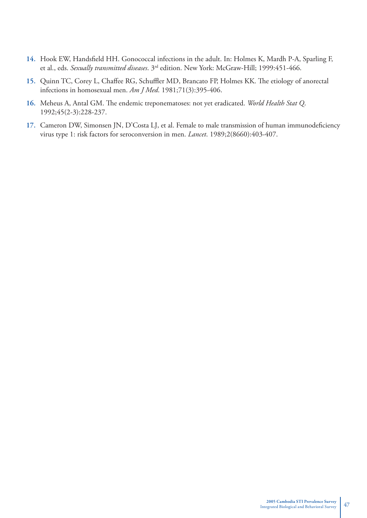- 14. Hook EW, Handsfield HH. Gonococcal infections in the adult. In: Holmes K, Mardh P-A, Sparling F, et al., eds. *Sexually transmitted diseases*. 3rd edition. New York: McGraw-Hill; 1999:451-466.
- 15. Quinn TC, Corey L, Chaffee RG, Schuffler MD, Brancato FP, Holmes KK. The etiology of anorectal infections in homosexual men. *Am J Med*. 1981;71(3):395-406.
- 16. Meheus A, Antal GM. The endemic treponematoses: not yet eradicated. *World Health Stat Q*. 1992;45(2-3):228-237.
- 17. Cameron DW, Simonsen JN, D'Costa LJ, et al. Female to male transmission of human immunodeficiency virus type 1: risk factors for seroconversion in men. *Lancet*. 1989;2(8660):403-407.